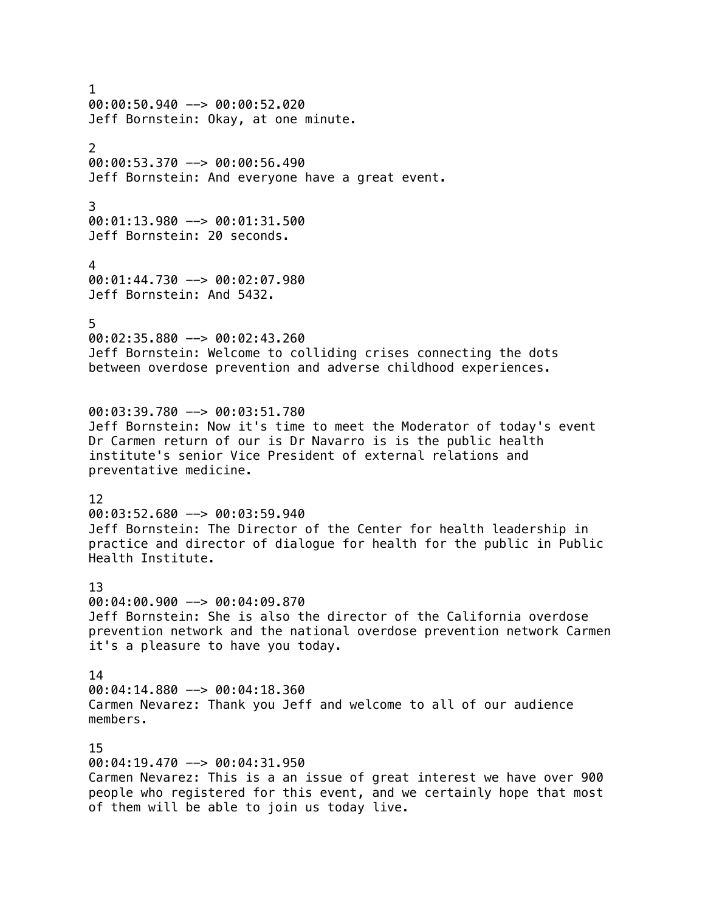1 00:00:50.940 --> 00:00:52.020 Jeff Bornstein: Okay, at one minute. 2 00:00:53.370 --> 00:00:56.490 Jeff Bornstein: And everyone have a great event. 3 00:01:13.980 --> 00:01:31.500 Jeff Bornstein: 20 seconds. 4 00:01:44.730 --> 00:02:07.980 Jeff Bornstein: And 5432. 5 00:02:35.880 --> 00:02:43.260 Jeff Bornstein: Welcome to colliding crises connecting the dots between overdose prevention and adverse childhood experiences. 00:03:39.780 --> 00:03:51.780 Jeff Bornstein: Now it's time to meet the Moderator of today's event Dr Carmen return of our is Dr Navarro is is the public health institute's senior Vice President of external relations and preventative medicine. 12  $00:03:52.680$  -->  $00:03:59.940$ Jeff Bornstein: The Director of the Center for health leadership in practice and director of dialogue for health for the public in Public Health Institute. 13 00:04:00.900 --> 00:04:09.870 Jeff Bornstein: She is also the director of the California overdose prevention network and the national overdose prevention network Carmen it's a pleasure to have you today. 14 00:04:14.880 --> 00:04:18.360 Carmen Nevarez: Thank you Jeff and welcome to all of our audience members. 15 00:04:19.470 --> 00:04:31.950 Carmen Nevarez: This is a an issue of great interest we have over 900 people who registered for this event, and we certainly hope that most of them will be able to join us today live.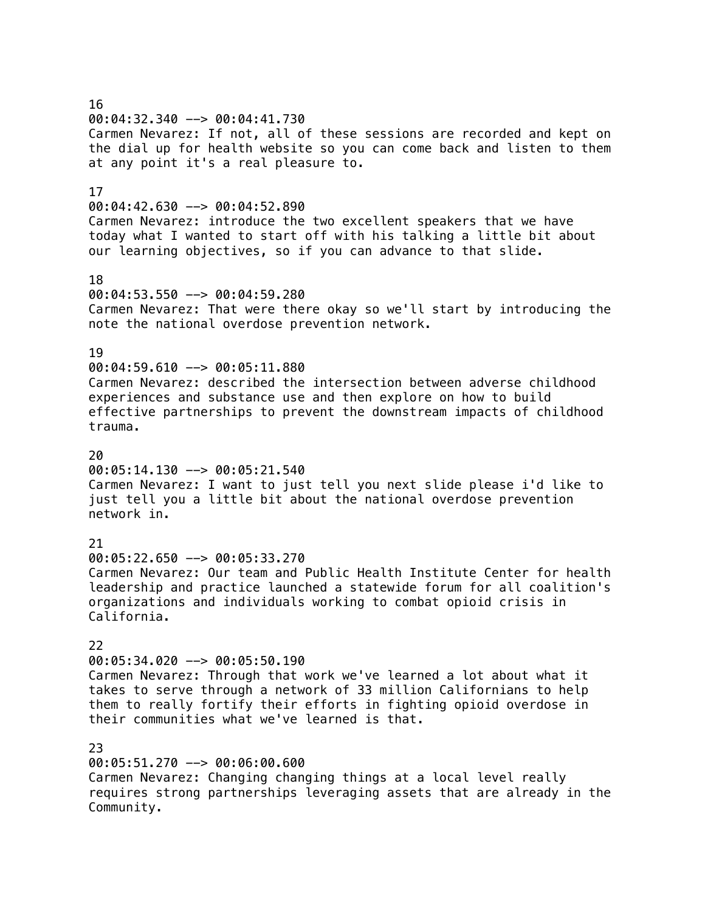16 00:04:32.340 --> 00:04:41.730 Carmen Nevarez: If not, all of these sessions are recorded and kept on the dial up for health website so you can come back and listen to them at any point it's a real pleasure to. 17 00:04:42.630 --> 00:04:52.890 Carmen Nevarez: introduce the two excellent speakers that we have today what I wanted to start off with his talking a little bit about our learning objectives, so if you can advance to that slide. 18 00:04:53.550 --> 00:04:59.280 Carmen Nevarez: That were there okay so we'll start by introducing the note the national overdose prevention network. 19 00:04:59.610 --> 00:05:11.880 Carmen Nevarez: described the intersection between adverse childhood experiences and substance use and then explore on how to build effective partnerships to prevent the downstream impacts of childhood trauma.  $20$ 00:05:14.130 --> 00:05:21.540 Carmen Nevarez: I want to just tell you next slide please i'd like to just tell you a little bit about the national overdose prevention network in. 21 00:05:22.650 --> 00:05:33.270 Carmen Nevarez: Our team and Public Health Institute Center for health leadership and practice launched a statewide forum for all coalition's organizations and individuals working to combat opioid crisis in California. 22 00:05:34.020 --> 00:05:50.190 Carmen Nevarez: Through that work we've learned a lot about what it takes to serve through a network of 33 million Californians to help them to really fortify their efforts in fighting opioid overdose in their communities what we've learned is that. 23 00:05:51.270 --> 00:06:00.600 Carmen Nevarez: Changing changing things at a local level really requires strong partnerships leveraging assets that are already in the

Community.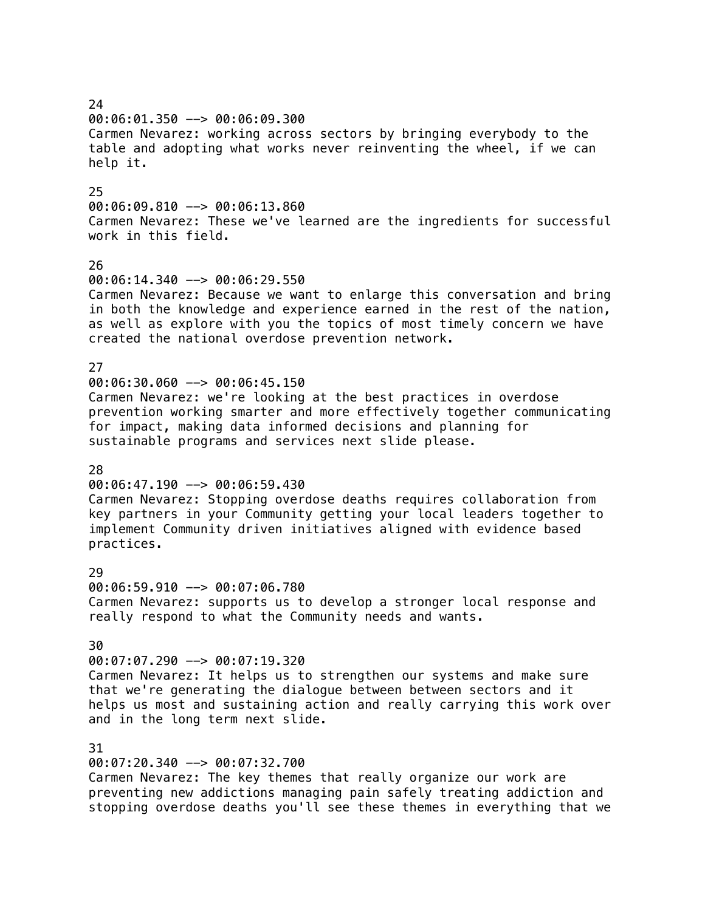00:06:01.350 --> 00:06:09.300 Carmen Nevarez: working across sectors by bringing everybody to the table and adopting what works never reinventing the wheel, if we can help it. 25  $00:06:09.810$  -->  $00:06:13.860$ Carmen Nevarez: These we've learned are the ingredients for successful work in this field. 26  $00:06:14.340$  -->  $00:06:29.550$ Carmen Nevarez: Because we want to enlarge this conversation and bring in both the knowledge and experience earned in the rest of the nation, as well as explore with you the topics of most timely concern we have created the national overdose prevention network. 27 00:06:30.060 --> 00:06:45.150 Carmen Nevarez: we're looking at the best practices in overdose prevention working smarter and more effectively together communicating for impact, making data informed decisions and planning for sustainable programs and services next slide please. 28  $00:06:47.190$  -->  $00:06:59.430$ Carmen Nevarez: Stopping overdose deaths requires collaboration from key partners in your Community getting your local leaders together to implement Community driven initiatives aligned with evidence based practices.  $29$ 00:06:59.910 --> 00:07:06.780 Carmen Nevarez: supports us to develop a stronger local response and really respond to what the Community needs and wants. 30 00:07:07.290 --> 00:07:19.320 Carmen Nevarez: It helps us to strengthen our systems and make sure that we're generating the dialogue between between sectors and it helps us most and sustaining action and really carrying this work over and in the long term next slide. 31 00:07:20.340 --> 00:07:32.700

Carmen Nevarez: The key themes that really organize our work are preventing new addictions managing pain safely treating addiction and stopping overdose deaths you'll see these themes in everything that we

 $24$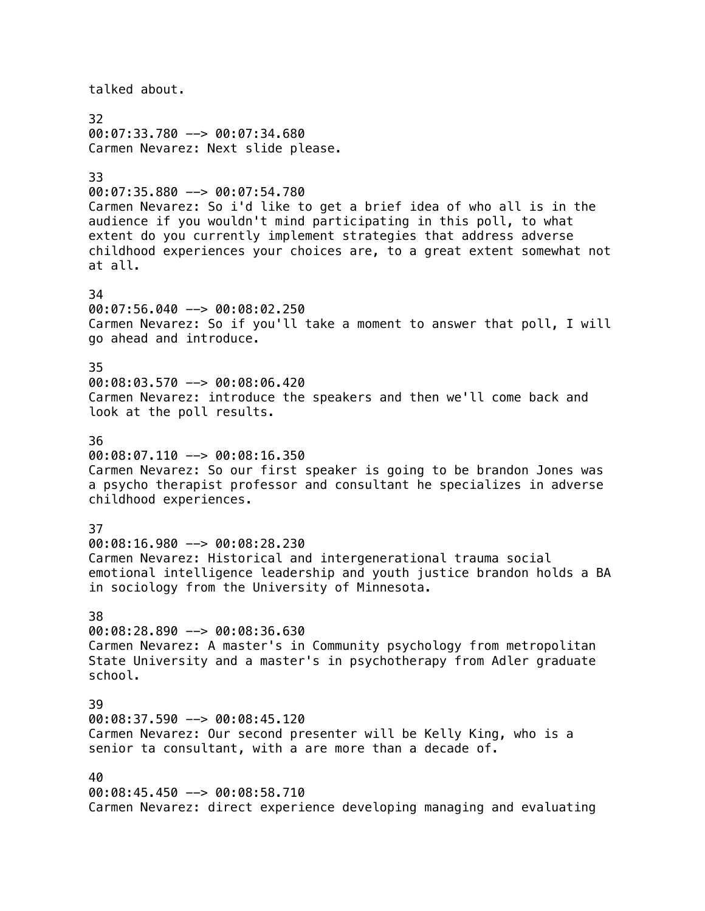talked about. 32 00:07:33.780 --> 00:07:34.680 Carmen Nevarez: Next slide please. 33 00:07:35.880 --> 00:07:54.780 Carmen Nevarez: So i'd like to get a brief idea of who all is in the audience if you wouldn't mind participating in this poll, to what extent do you currently implement strategies that address adverse childhood experiences your choices are, to a great extent somewhat not at all. 34 00:07:56.040 --> 00:08:02.250 Carmen Nevarez: So if you'll take a moment to answer that poll, I will go ahead and introduce. 35 00:08:03.570 --> 00:08:06.420 Carmen Nevarez: introduce the speakers and then we'll come back and look at the poll results. 36 00:08:07.110 --> 00:08:16.350 Carmen Nevarez: So our first speaker is going to be brandon Jones was a psycho therapist professor and consultant he specializes in adverse childhood experiences. 37 00:08:16.980 --> 00:08:28.230 Carmen Nevarez: Historical and intergenerational trauma social emotional intelligence leadership and youth justice brandon holds a BA in sociology from the University of Minnesota. 38 00:08:28.890 --> 00:08:36.630 Carmen Nevarez: A master's in Community psychology from metropolitan State University and a master's in psychotherapy from Adler graduate school. 39 00:08:37.590 --> 00:08:45.120 Carmen Nevarez: Our second presenter will be Kelly King, who is a senior ta consultant, with a are more than a decade of. 40 00:08:45.450 --> 00:08:58.710 Carmen Nevarez: direct experience developing managing and evaluating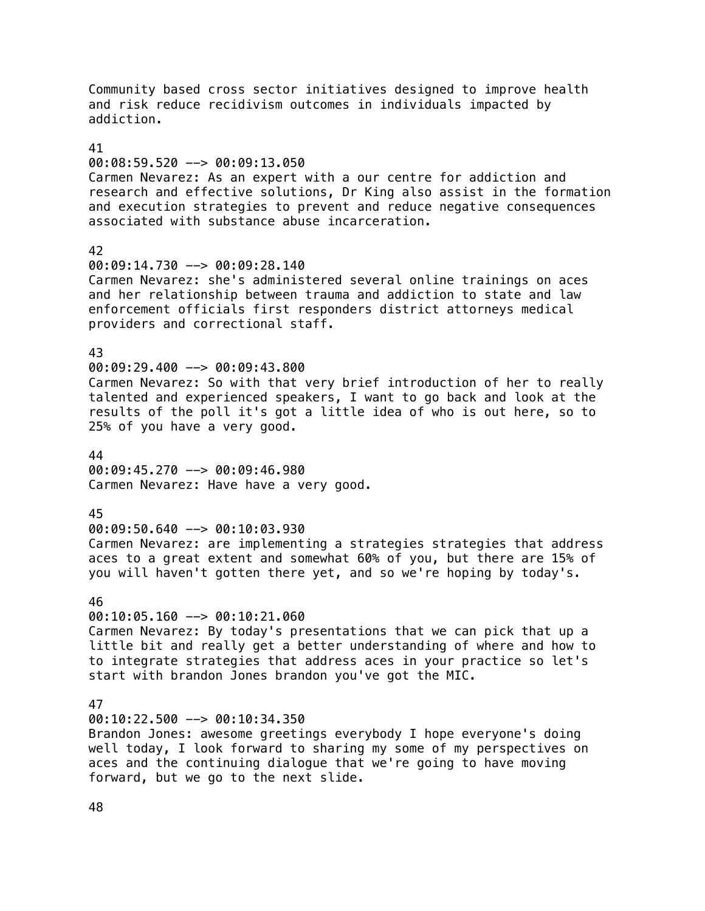Community based cross sector initiatives designed to improve health and risk reduce recidivism outcomes in individuals impacted by addiction. 41 00:08:59.520 --> 00:09:13.050 Carmen Nevarez: As an expert with a our centre for addiction and research and effective solutions, Dr King also assist in the formation and execution strategies to prevent and reduce negative consequences associated with substance abuse incarceration. 42 00:09:14.730 --> 00:09:28.140 Carmen Nevarez: she's administered several online trainings on aces and her relationship between trauma and addiction to state and law enforcement officials first responders district attorneys medical providers and correctional staff. 43 00:09:29.400 --> 00:09:43.800 Carmen Nevarez: So with that very brief introduction of her to really talented and experienced speakers, I want to go back and look at the results of the poll it's got a little idea of who is out here, so to 25% of you have a very good. 44 00:09:45.270 --> 00:09:46.980 Carmen Nevarez: Have have a very good. 45 00:09:50.640 --> 00:10:03.930 Carmen Nevarez: are implementing a strategies strategies that address aces to a great extent and somewhat 60% of you, but there are 15% of you will haven't gotten there yet, and so we're hoping by today's. 46  $00:10:05.160$  -->  $00:10:21.060$ Carmen Nevarez: By today's presentations that we can pick that up a little bit and really get a better understanding of where and how to to integrate strategies that address aces in your practice so let's start with brandon Jones brandon you've got the MIC. 47 00:10:22.500 --> 00:10:34.350 Brandon Jones: awesome greetings everybody I hope everyone's doing well today, I look forward to sharing my some of my perspectives on aces and the continuing dialogue that we're going to have moving forward, but we go to the next slide.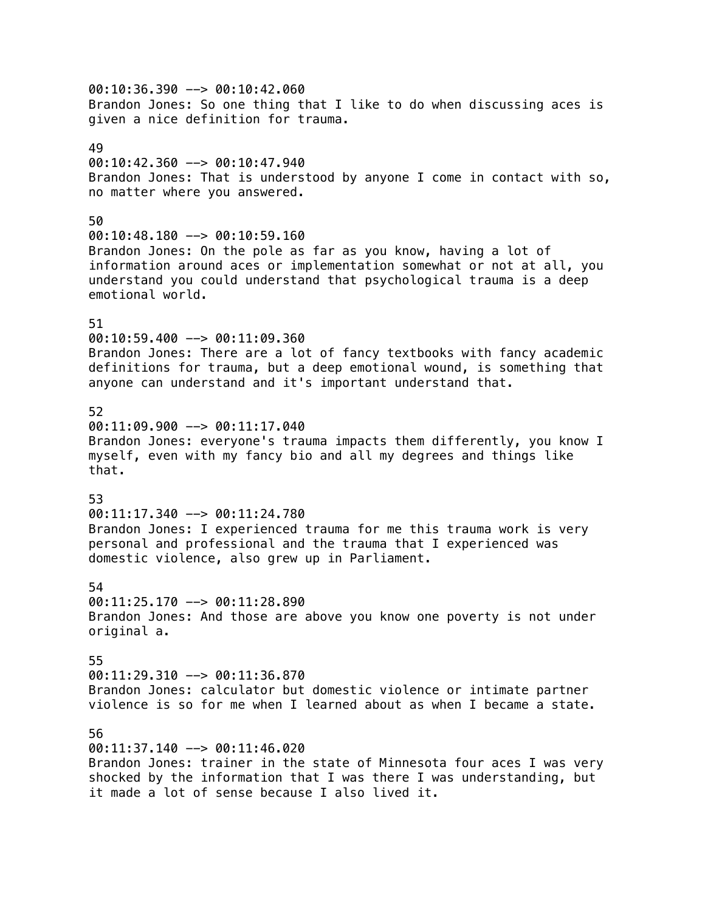00:10:36.390 --> 00:10:42.060 Brandon Jones: So one thing that I like to do when discussing aces is given a nice definition for trauma. 49 00:10:42.360 --> 00:10:47.940 Brandon Jones: That is understood by anyone I come in contact with so, no matter where you answered. 50  $00:10:48.180$  -->  $00:10:59.160$ Brandon Jones: On the pole as far as you know, having a lot of information around aces or implementation somewhat or not at all, you understand you could understand that psychological trauma is a deep emotional world. 51 00:10:59.400 --> 00:11:09.360 Brandon Jones: There are a lot of fancy textbooks with fancy academic definitions for trauma, but a deep emotional wound, is something that anyone can understand and it's important understand that. 52 00:11:09.900 --> 00:11:17.040 Brandon Jones: everyone's trauma impacts them differently, you know I myself, even with my fancy bio and all my degrees and things like that. 53 00:11:17.340 --> 00:11:24.780 Brandon Jones: I experienced trauma for me this trauma work is very personal and professional and the trauma that I experienced was domestic violence, also grew up in Parliament. 54 00:11:25.170 --> 00:11:28.890 Brandon Jones: And those are above you know one poverty is not under original a. 55 00:11:29.310 --> 00:11:36.870 Brandon Jones: calculator but domestic violence or intimate partner violence is so for me when I learned about as when I became a state. 56 00:11:37.140 --> 00:11:46.020 Brandon Jones: trainer in the state of Minnesota four aces I was very shocked by the information that I was there I was understanding, but

it made a lot of sense because I also lived it.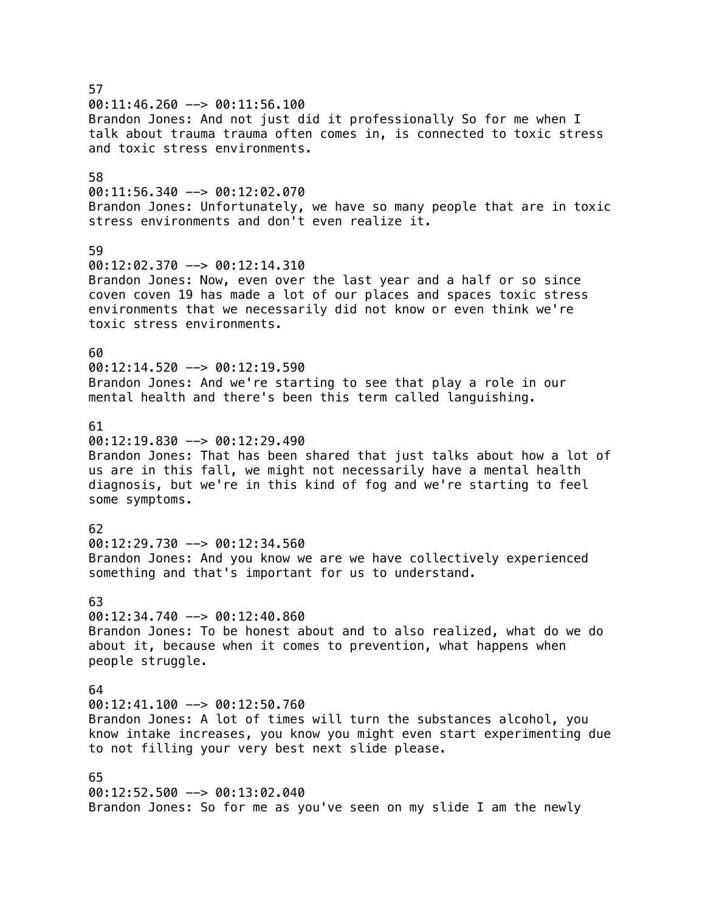57 00:11:46.260 --> 00:11:56.100 Brandon Jones: And not just did it professionally So for me when I talk about trauma trauma often comes in, is connected to toxic stress and toxic stress environments. 58 00:11:56.340 --> 00:12:02.070 Brandon Jones: Unfortunately, we have so many people that are in toxic stress environments and don't even realize it. 59 00:12:02.370 --> 00:12:14.310 Brandon Jones: Now, even over the last year and a half or so since coven coven 19 has made a lot of our places and spaces toxic stress environments that we necessarily did not know or even think we're toxic stress environments. 60  $00:12:14.520$  -->  $00:12:19.590$ Brandon Jones: And we're starting to see that play a role in our mental health and there's been this term called languishing. 61  $0.12:19.830$  -->  $0.0112:29.490$ Brandon Jones: That has been shared that just talks about how a lot of us are in this fall, we might not necessarily have a mental health diagnosis, but we're in this kind of fog and we're starting to feel some symptoms. 62 00:12:29.730 --> 00:12:34.560 Brandon Jones: And you know we are we have collectively experienced something and that's important for us to understand. 63  $00:12:34.740$  -->  $00:12:40.860$ Brandon Jones: To be honest about and to also realized, what do we do about it, because when it comes to prevention, what happens when people struggle. 64  $00:12:41.100$  -->  $00:12:50.760$ Brandon Jones: A lot of times will turn the substances alcohol, you know intake increases, you know you might even start experimenting due to not filling your very best next slide please. 65 00:12:52.500 --> 00:13:02.040 Brandon Jones: So for me as you've seen on my slide I am the newly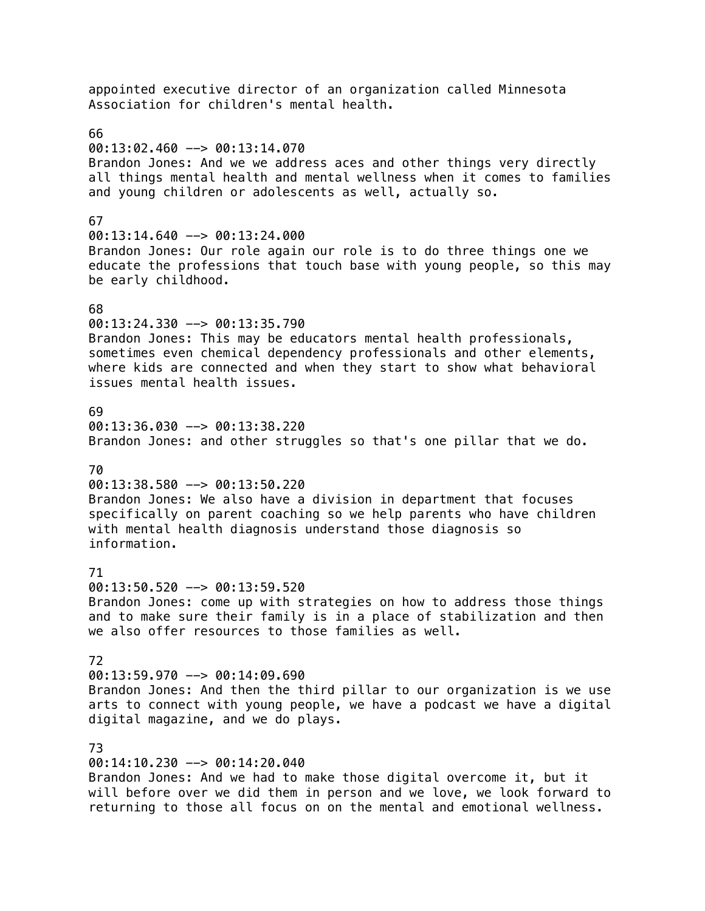appointed executive director of an organization called Minnesota Association for children's mental health. 66  $00:13:02.460$  -->  $00:13:14.070$ Brandon Jones: And we we address aces and other things very directly all things mental health and mental wellness when it comes to families and young children or adolescents as well, actually so. 67  $00:13:14.640$  -->  $00:13:24.000$ Brandon Jones: Our role again our role is to do three things one we educate the professions that touch base with young people, so this may be early childhood. 68 00:13:24.330 --> 00:13:35.790 Brandon Jones: This may be educators mental health professionals, sometimes even chemical dependency professionals and other elements, where kids are connected and when they start to show what behavioral issues mental health issues. 69 00:13:36.030 --> 00:13:38.220 Brandon Jones: and other struggles so that's one pillar that we do. 70 00:13:38.580 --> 00:13:50.220 Brandon Jones: We also have a division in department that focuses specifically on parent coaching so we help parents who have children with mental health diagnosis understand those diagnosis so information. 71 00:13:50.520 --> 00:13:59.520 Brandon Jones: come up with strategies on how to address those things and to make sure their family is in a place of stabilization and then we also offer resources to those families as well. 72 00:13:59.970 --> 00:14:09.690 Brandon Jones: And then the third pillar to our organization is we use arts to connect with young people, we have a podcast we have a digital digital magazine, and we do plays. 73 00:14:10.230 --> 00:14:20.040

Brandon Jones: And we had to make those digital overcome it, but it will before over we did them in person and we love, we look forward to returning to those all focus on on the mental and emotional wellness.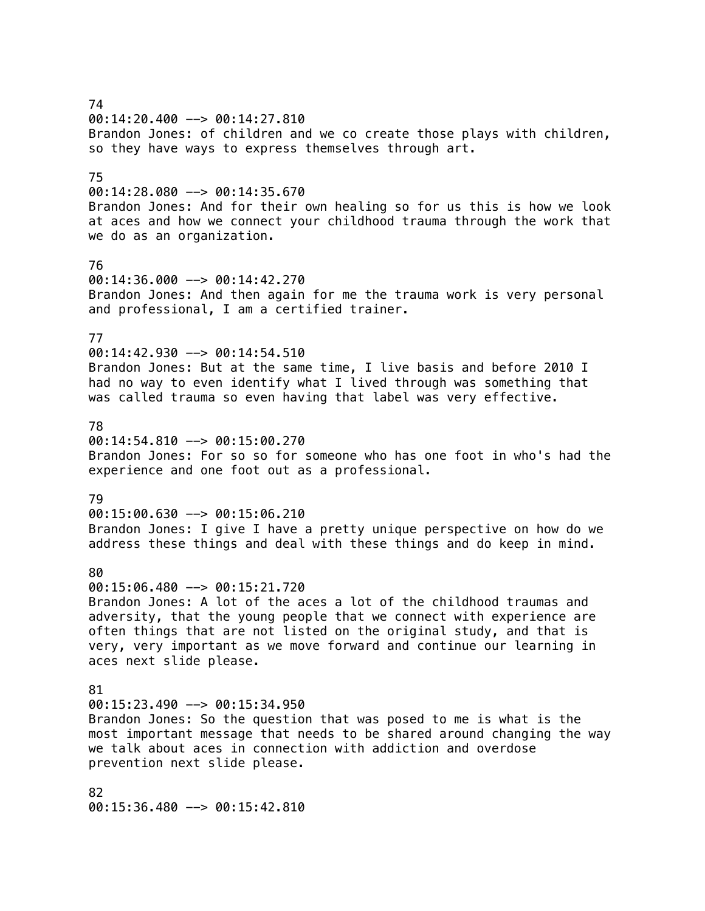74 00:14:20.400 --> 00:14:27.810 Brandon Jones: of children and we co create those plays with children, so they have ways to express themselves through art. 75  $00:14:28.080$  -->  $00:14:35.670$ Brandon Jones: And for their own healing so for us this is how we look at aces and how we connect your childhood trauma through the work that we do as an organization. 76 00:14:36.000 --> 00:14:42.270 Brandon Jones: And then again for me the trauma work is very personal and professional, I am a certified trainer. 77 00:14:42.930 --> 00:14:54.510 Brandon Jones: But at the same time, I live basis and before 2010 I had no way to even identify what I lived through was something that was called trauma so even having that label was very effective. 78  $00:14:54.810$  -->  $00:15:00.270$ Brandon Jones: For so so for someone who has one foot in who's had the experience and one foot out as a professional. 79  $00:15:00.630$  -->  $00:15:06.210$ Brandon Jones: I give I have a pretty unique perspective on how do we address these things and deal with these things and do keep in mind. 80  $00:15:06.480$  -->  $00:15:21.720$ Brandon Jones: A lot of the aces a lot of the childhood traumas and adversity, that the young people that we connect with experience are often things that are not listed on the original study, and that is very, very important as we move forward and continue our learning in aces next slide please. 81  $00:15:23.490$  -->  $00:15:34.950$ Brandon Jones: So the question that was posed to me is what is the most important message that needs to be shared around changing the way we talk about aces in connection with addiction and overdose prevention next slide please. 82

00:15:36.480 --> 00:15:42.810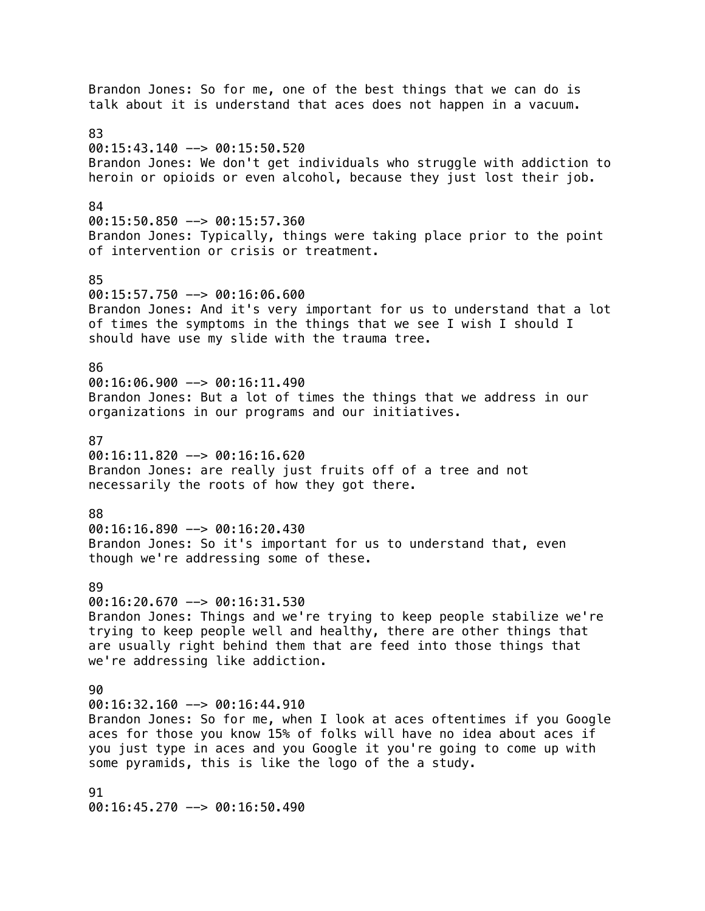Brandon Jones: So for me, one of the best things that we can do is talk about it is understand that aces does not happen in a vacuum. 83 00:15:43.140 --> 00:15:50.520 Brandon Jones: We don't get individuals who struggle with addiction to heroin or opioids or even alcohol, because they just lost their job. 84 00:15:50.850 --> 00:15:57.360 Brandon Jones: Typically, things were taking place prior to the point of intervention or crisis or treatment. 85 00:15:57.750 --> 00:16:06.600 Brandon Jones: And it's very important for us to understand that a lot of times the symptoms in the things that we see I wish I should I should have use my slide with the trauma tree. 86 00:16:06.900 --> 00:16:11.490 Brandon Jones: But a lot of times the things that we address in our organizations in our programs and our initiatives. 87  $00:16:11.820$  -->  $00:16:16.620$ Brandon Jones: are really just fruits off of a tree and not necessarily the roots of how they got there. 88  $00:16:16.890$  -->  $00:16:20.430$ Brandon Jones: So it's important for us to understand that, even though we're addressing some of these. 89 00:16:20.670 --> 00:16:31.530 Brandon Jones: Things and we're trying to keep people stabilize we're trying to keep people well and healthy, there are other things that are usually right behind them that are feed into those things that we're addressing like addiction.  $90$  $00:16:32.160$  -->  $00:16:44.910$ Brandon Jones: So for me, when I look at aces oftentimes if you Google aces for those you know 15% of folks will have no idea about aces if you just type in aces and you Google it you're going to come up with some pyramids, this is like the logo of the a study. 91 00:16:45.270 --> 00:16:50.490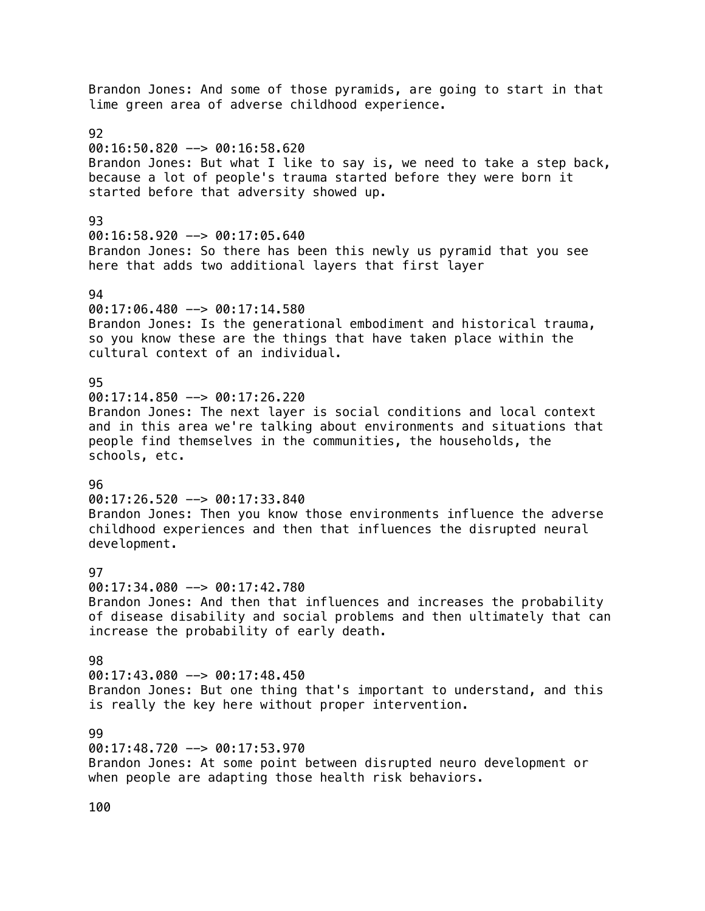Brandon Jones: And some of those pyramids, are going to start in that lime green area of adverse childhood experience. 92 00:16:50.820 --> 00:16:58.620 Brandon Jones: But what I like to say is, we need to take a step back, because a lot of people's trauma started before they were born it started before that adversity showed up. 93  $00:16:58.920$  -->  $00:17:05.640$ Brandon Jones: So there has been this newly us pyramid that you see here that adds two additional layers that first layer 94 00:17:06.480 --> 00:17:14.580 Brandon Jones: Is the generational embodiment and historical trauma, so you know these are the things that have taken place within the cultural context of an individual. 95  $00:17:14.850$  -->  $00:17:26.220$ Brandon Jones: The next layer is social conditions and local context and in this area we're talking about environments and situations that people find themselves in the communities, the households, the schools, etc. 96 00:17:26.520 --> 00:17:33.840 Brandon Jones: Then you know those environments influence the adverse childhood experiences and then that influences the disrupted neural development. **97** 00:17:34.080 --> 00:17:42.780 Brandon Jones: And then that influences and increases the probability of disease disability and social problems and then ultimately that can increase the probability of early death. 98 00:17:43.080 --> 00:17:48.450 Brandon Jones: But one thing that's important to understand, and this is really the key here without proper intervention. 99 00:17:48.720 --> 00:17:53.970 Brandon Jones: At some point between disrupted neuro development or when people are adapting those health risk behaviors.

100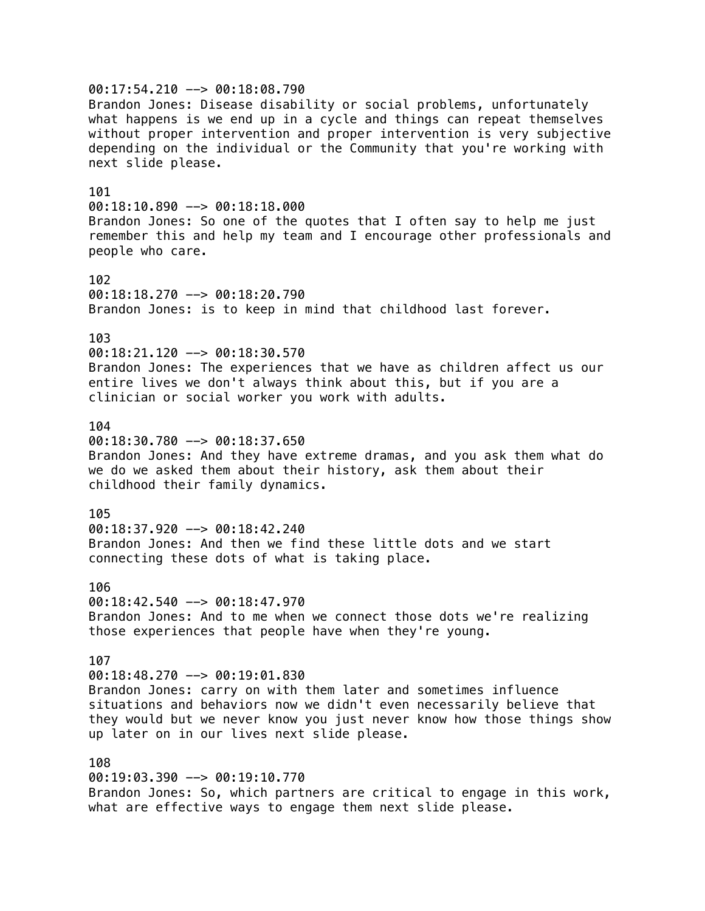00:17:54.210 --> 00:18:08.790 Brandon Jones: Disease disability or social problems, unfortunately what happens is we end up in a cycle and things can repeat themselves without proper intervention and proper intervention is very subjective depending on the individual or the Community that you're working with next slide please. 101  $00:18:10.890$  -->  $00:18:18.000$ Brandon Jones: So one of the quotes that I often say to help me just remember this and help my team and I encourage other professionals and people who care. 102 00:18:18.270 --> 00:18:20.790 Brandon Jones: is to keep in mind that childhood last forever. 103 00:18:21.120 --> 00:18:30.570 Brandon Jones: The experiences that we have as children affect us our entire lives we don't always think about this, but if you are a clinician or social worker you work with adults. 104  $00:18:30.780$  -->  $00:18:37.650$ Brandon Jones: And they have extreme dramas, and you ask them what do we do we asked them about their history, ask them about their childhood their family dynamics. 105  $00:18:37.920$  -->  $00:18:42.240$ Brandon Jones: And then we find these little dots and we start connecting these dots of what is taking place. 106  $00:18:42.540$  -->  $00:18:47.970$ Brandon Jones: And to me when we connect those dots we're realizing those experiences that people have when they're young. 107 00:18:48.270 --> 00:19:01.830 Brandon Jones: carry on with them later and sometimes influence situations and behaviors now we didn't even necessarily believe that they would but we never know you just never know how those things show up later on in our lives next slide please. 108 00:19:03.390 --> 00:19:10.770 Brandon Jones: So, which partners are critical to engage in this work,

what are effective ways to engage them next slide please.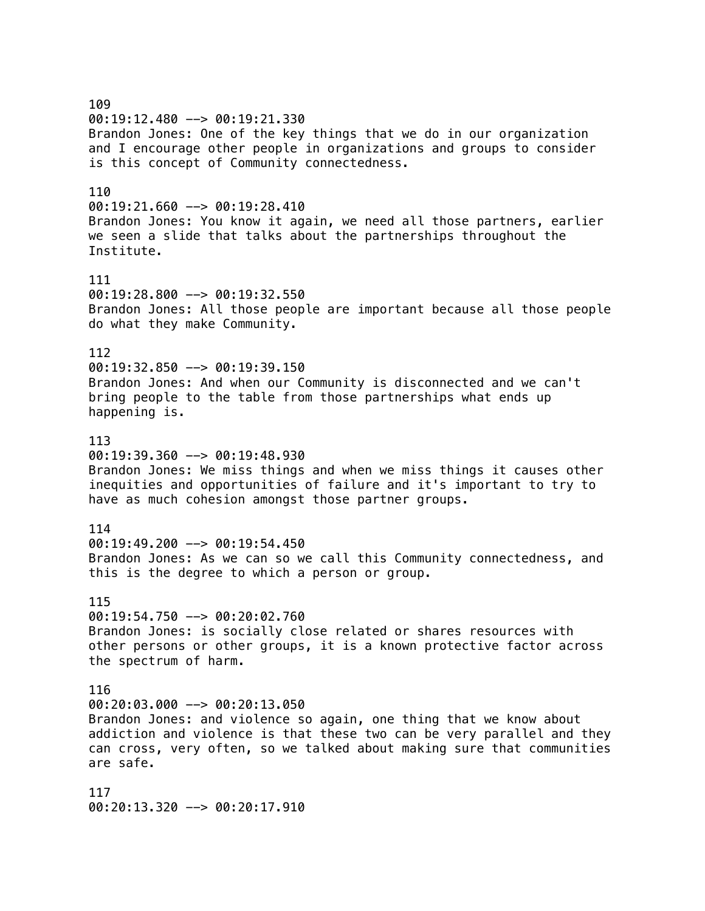109 00:19:12.480 --> 00:19:21.330 Brandon Jones: One of the key things that we do in our organization and I encourage other people in organizations and groups to consider is this concept of Community connectedness. 110 00:19:21.660 --> 00:19:28.410 Brandon Jones: You know it again, we need all those partners, earlier we seen a slide that talks about the partnerships throughout the Institute. 111  $00:19:28.800$  -->  $00:19:32.550$ Brandon Jones: All those people are important because all those people do what they make Community. 112  $00:19:32.850$  -->  $00:19:39.150$ Brandon Jones: And when our Community is disconnected and we can't bring people to the table from those partnerships what ends up happening is. 113 00:19:39.360 --> 00:19:48.930 Brandon Jones: We miss things and when we miss things it causes other inequities and opportunities of failure and it's important to try to have as much cohesion amongst those partner groups. 114 00:19:49.200 --> 00:19:54.450 Brandon Jones: As we can so we call this Community connectedness, and this is the degree to which a person or group. 115  $00:19:54.750$  -->  $00:20:02.760$ Brandon Jones: is socially close related or shares resources with other persons or other groups, it is a known protective factor across the spectrum of harm. 116 00:20:03.000 --> 00:20:13.050 Brandon Jones: and violence so again, one thing that we know about addiction and violence is that these two can be very parallel and they can cross, very often, so we talked about making sure that communities are safe. 117

00:20:13.320 --> 00:20:17.910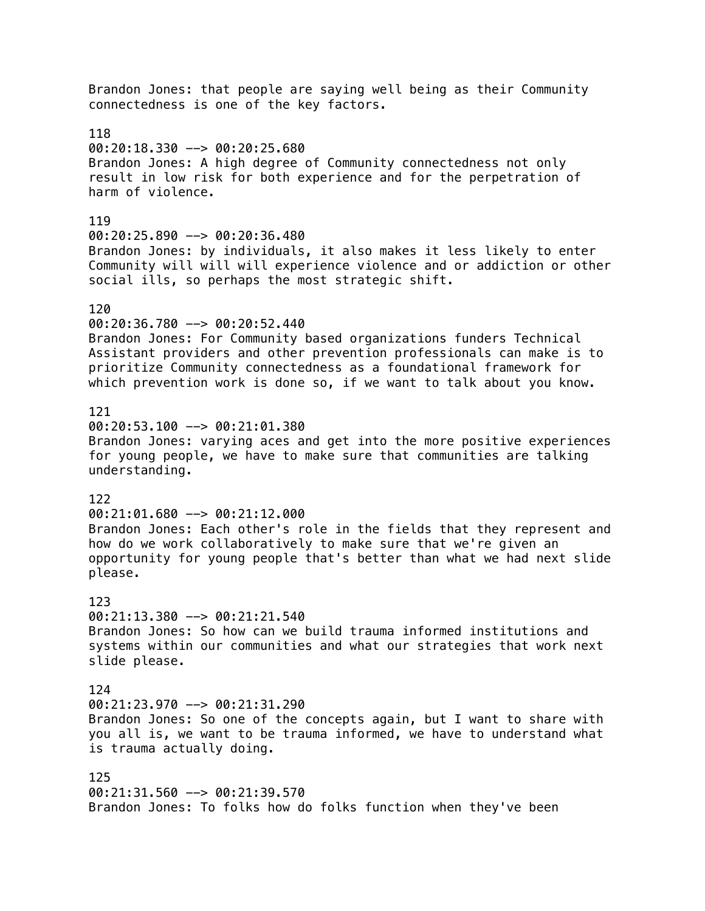Brandon Jones: that people are saying well being as their Community connectedness is one of the key factors. 118 00:20:18.330 --> 00:20:25.680 Brandon Jones: A high degree of Community connectedness not only result in low risk for both experience and for the perpetration of harm of violence. 119 00:20:25.890 --> 00:20:36.480 Brandon Jones: by individuals, it also makes it less likely to enter Community will will will experience violence and or addiction or other social ills, so perhaps the most strategic shift. 120 00:20:36.780 --> 00:20:52.440 Brandon Jones: For Community based organizations funders Technical Assistant providers and other prevention professionals can make is to prioritize Community connectedness as a foundational framework for which prevention work is done so, if we want to talk about you know. 121 00:20:53.100 --> 00:21:01.380 Brandon Jones: varying aces and get into the more positive experiences for young people, we have to make sure that communities are talking understanding. 122  $00:21:01.680$  -->  $00:21:12.000$ Brandon Jones: Each other's role in the fields that they represent and how do we work collaboratively to make sure that we're given an opportunity for young people that's better than what we had next slide please. 123  $00:21:13.380$  -->  $00:21:21.540$ Brandon Jones: So how can we build trauma informed institutions and systems within our communities and what our strategies that work next slide please. 124  $00:21:23.970$  -->  $00:21:31.290$ Brandon Jones: So one of the concepts again, but I want to share with you all is, we want to be trauma informed, we have to understand what is trauma actually doing. 125  $00:21:31.560$  -->  $00:21:39.570$ Brandon Jones: To folks how do folks function when they've been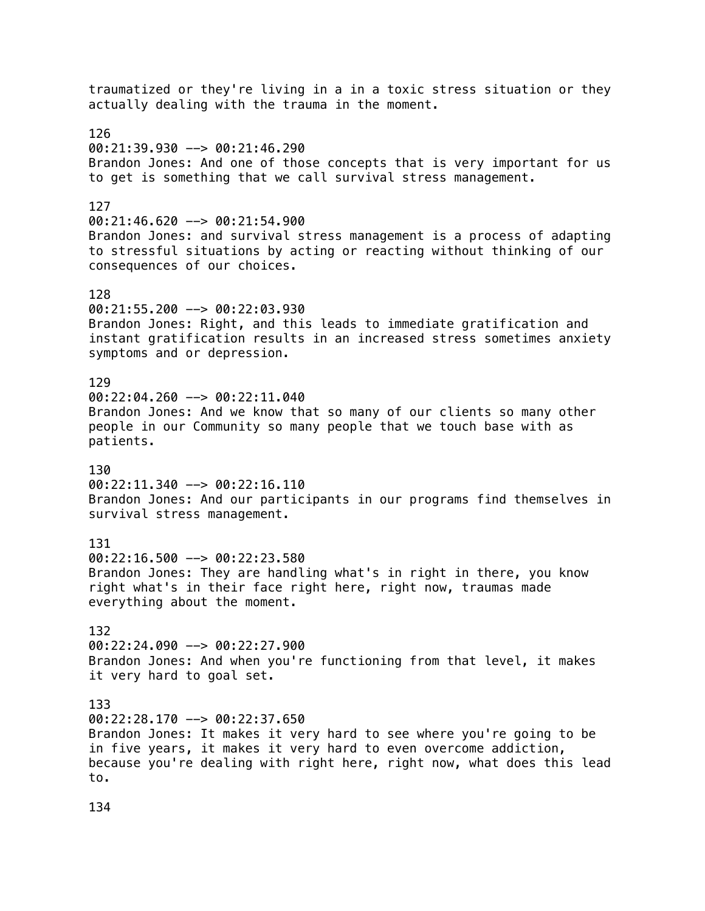traumatized or they're living in a in a toxic stress situation or they actually dealing with the trauma in the moment. 126 00:21:39.930 --> 00:21:46.290 Brandon Jones: And one of those concepts that is very important for us to get is something that we call survival stress management. 127 00:21:46.620 --> 00:21:54.900 Brandon Jones: and survival stress management is a process of adapting to stressful situations by acting or reacting without thinking of our consequences of our choices. 128 00:21:55.200 --> 00:22:03.930 Brandon Jones: Right, and this leads to immediate gratification and instant gratification results in an increased stress sometimes anxiety symptoms and or depression. 129  $00:22:04.260$  -->  $00:22:11.040$ Brandon Jones: And we know that so many of our clients so many other people in our Community so many people that we touch base with as patients. 130  $00:22:11.340$  -->  $00:22:16.110$ Brandon Jones: And our participants in our programs find themselves in survival stress management. 131 00:22:16.500 --> 00:22:23.580 Brandon Jones: They are handling what's in right in there, you know right what's in their face right here, right now, traumas made everything about the moment. 132 00:22:24.090 --> 00:22:27.900 Brandon Jones: And when you're functioning from that level, it makes it very hard to goal set. 133 00:22:28.170 --> 00:22:37.650 Brandon Jones: It makes it very hard to see where you're going to be in five years, it makes it very hard to even overcome addiction, because you're dealing with right here, right now, what does this lead to.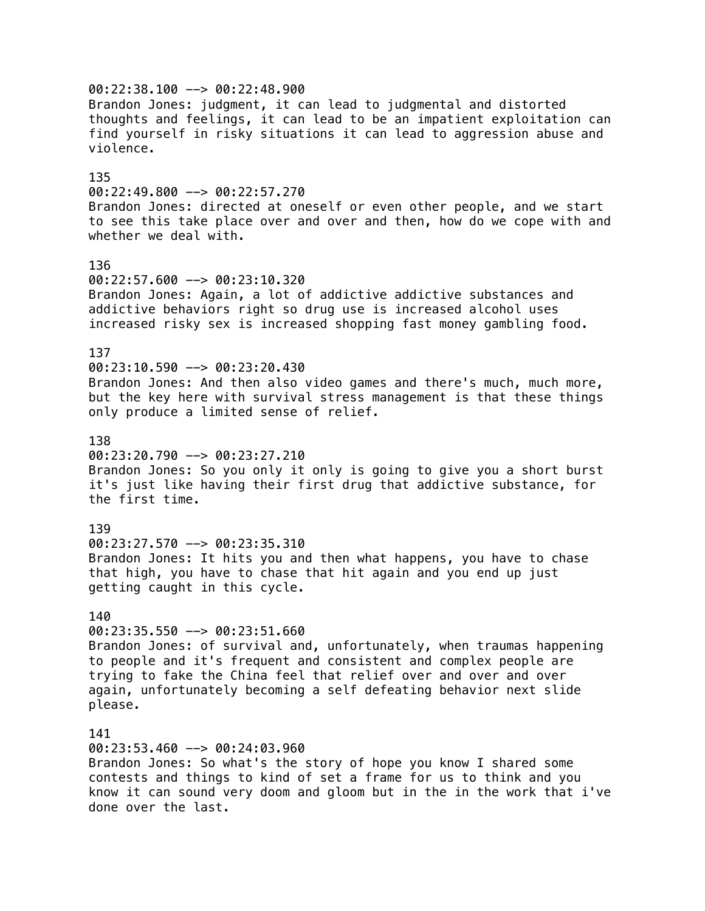00:22:38.100 --> 00:22:48.900 Brandon Jones: judgment, it can lead to judgmental and distorted thoughts and feelings, it can lead to be an impatient exploitation can find yourself in risky situations it can lead to aggression abuse and violence. 135 00:22:49.800 --> 00:22:57.270 Brandon Jones: directed at oneself or even other people, and we start to see this take place over and over and then, how do we cope with and whether we deal with. 136 00:22:57.600 --> 00:23:10.320 Brandon Jones: Again, a lot of addictive addictive substances and addictive behaviors right so drug use is increased alcohol uses increased risky sex is increased shopping fast money gambling food. 137  $00:23:10.590$  -->  $00:23:20.430$ Brandon Jones: And then also video games and there's much, much more, but the key here with survival stress management is that these things only produce a limited sense of relief. 138 00:23:20.790 --> 00:23:27.210 Brandon Jones: So you only it only is going to give you a short burst it's just like having their first drug that addictive substance, for the first time. 139 00:23:27.570 --> 00:23:35.310 Brandon Jones: It hits you and then what happens, you have to chase that high, you have to chase that hit again and you end up just getting caught in this cycle. 140 00:23:35.550 --> 00:23:51.660 Brandon Jones: of survival and, unfortunately, when traumas happening to people and it's frequent and consistent and complex people are trying to fake the China feel that relief over and over and over again, unfortunately becoming a self defeating behavior next slide please. 141 00:23:53.460 --> 00:24:03.960 Brandon Jones: So what's the story of hope you know I shared some contests and things to kind of set a frame for us to think and you know it can sound very doom and gloom but in the in the work that i've done over the last.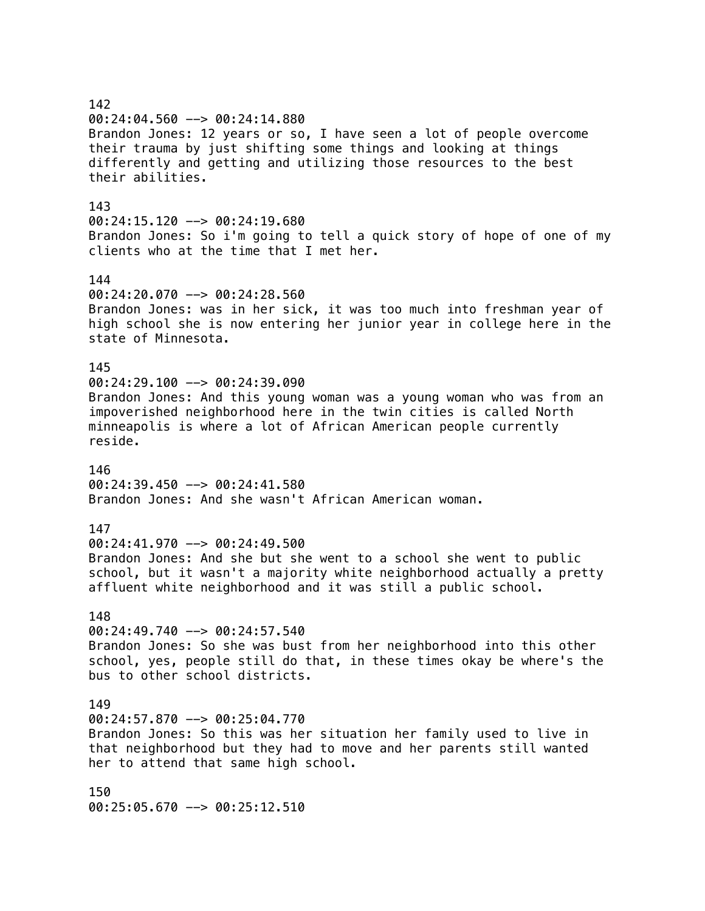## 142 00:24:04.560 --> 00:24:14.880 Brandon Jones: 12 years or so, I have seen a lot of people overcome their trauma by just shifting some things and looking at things differently and getting and utilizing those resources to the best their abilities. 143 00:24:15.120 --> 00:24:19.680 Brandon Jones: So i'm going to tell a quick story of hope of one of my clients who at the time that I met her. 144 00:24:20.070 --> 00:24:28.560 Brandon Jones: was in her sick, it was too much into freshman year of high school she is now entering her junior year in college here in the state of Minnesota. 145 00:24:29.100 --> 00:24:39.090 Brandon Jones: And this young woman was a young woman who was from an impoverished neighborhood here in the twin cities is called North minneapolis is where a lot of African American people currently reside. 146 00:24:39.450 --> 00:24:41.580 Brandon Jones: And she wasn't African American woman. 147 00:24:41.970 --> 00:24:49.500 Brandon Jones: And she but she went to a school she went to public school, but it wasn't a majority white neighborhood actually a pretty affluent white neighborhood and it was still a public school. 148 00:24:49.740 --> 00:24:57.540 Brandon Jones: So she was bust from her neighborhood into this other school, yes, people still do that, in these times okay be where's the bus to other school districts. 149 00:24:57.870 --> 00:25:04.770 Brandon Jones: So this was her situation her family used to live in that neighborhood but they had to move and her parents still wanted her to attend that same high school. 150 00:25:05.670 --> 00:25:12.510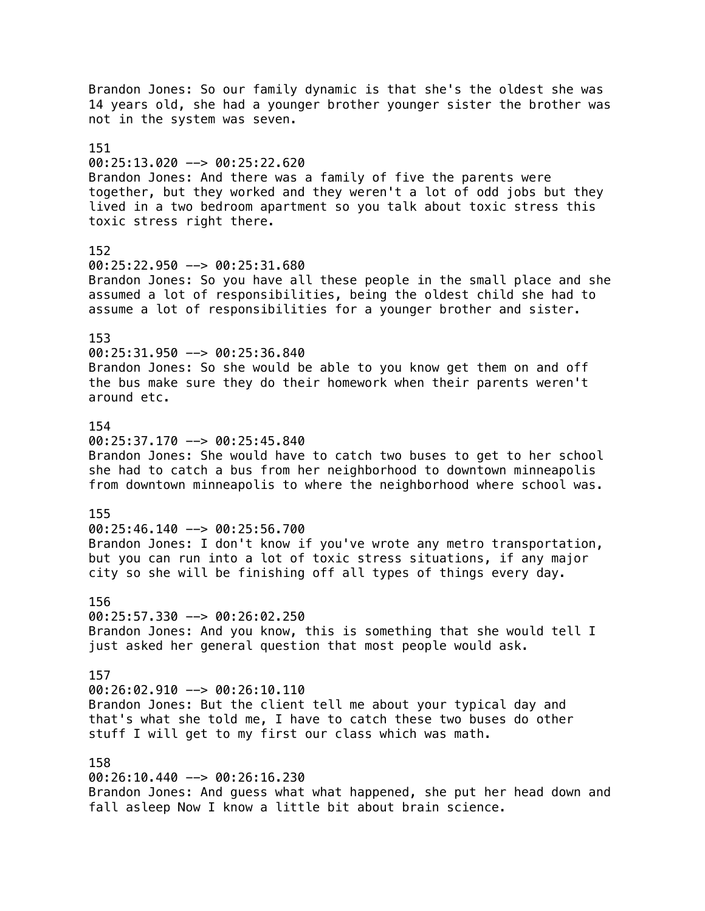Brandon Jones: So our family dynamic is that she's the oldest she was 14 years old, she had a younger brother younger sister the brother was not in the system was seven. 151 00:25:13.020 --> 00:25:22.620 Brandon Jones: And there was a family of five the parents were together, but they worked and they weren't a lot of odd jobs but they lived in a two bedroom apartment so you talk about toxic stress this toxic stress right there. 152 00:25:22.950 --> 00:25:31.680 Brandon Jones: So you have all these people in the small place and she assumed a lot of responsibilities, being the oldest child she had to assume a lot of responsibilities for a younger brother and sister. 153 00:25:31.950 --> 00:25:36.840 Brandon Jones: So she would be able to you know get them on and off the bus make sure they do their homework when their parents weren't around etc. 154 00:25:37.170 --> 00:25:45.840 Brandon Jones: She would have to catch two buses to get to her school she had to catch a bus from her neighborhood to downtown minneapolis from downtown minneapolis to where the neighborhood where school was. 155 00:25:46.140 --> 00:25:56.700 Brandon Jones: I don't know if you've wrote any metro transportation, but you can run into a lot of toxic stress situations, if any major city so she will be finishing off all types of things every day. 156  $00:25:57.330$  -->  $00:26:02.250$ Brandon Jones: And you know, this is something that she would tell I just asked her general question that most people would ask. 157 00:26:02.910 --> 00:26:10.110 Brandon Jones: But the client tell me about your typical day and that's what she told me, I have to catch these two buses do other stuff I will get to my first our class which was math. 158 00:26:10.440 --> 00:26:16.230 Brandon Jones: And guess what what happened, she put her head down and fall asleep Now I know a little bit about brain science.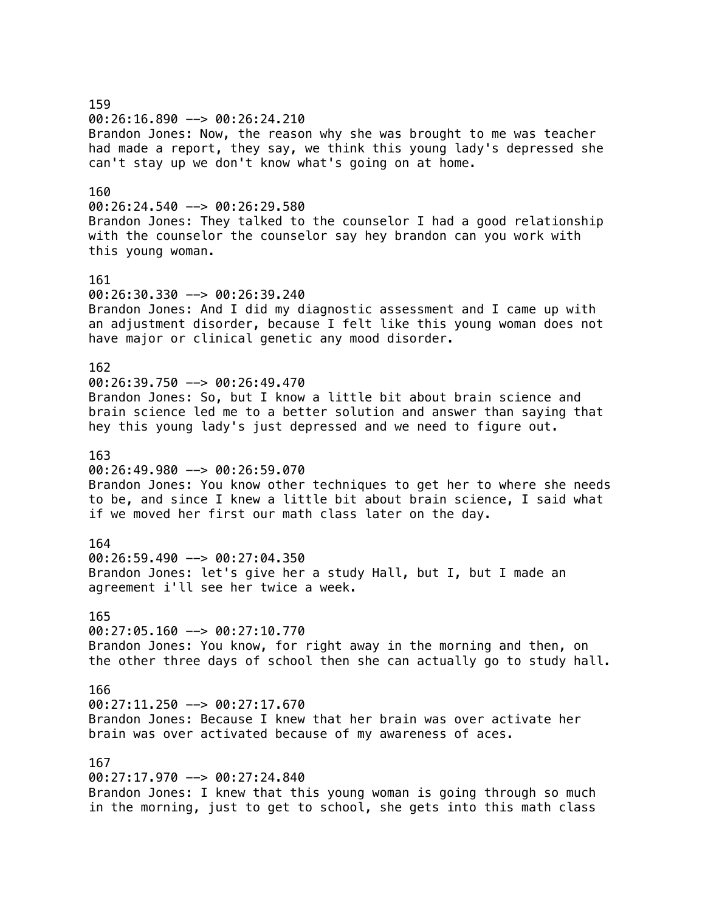159 00:26:16.890 --> 00:26:24.210 Brandon Jones: Now, the reason why she was brought to me was teacher had made a report, they say, we think this young lady's depressed she can't stay up we don't know what's going on at home. 160 00:26:24.540 --> 00:26:29.580 Brandon Jones: They talked to the counselor I had a good relationship with the counselor the counselor say hey brandon can you work with this young woman. 161 00:26:30.330 --> 00:26:39.240 Brandon Jones: And I did my diagnostic assessment and I came up with an adjustment disorder, because I felt like this young woman does not have major or clinical genetic any mood disorder. 162 00:26:39.750 --> 00:26:49.470 Brandon Jones: So, but I know a little bit about brain science and brain science led me to a better solution and answer than saying that hey this young lady's just depressed and we need to figure out. 163 00:26:49.980 --> 00:26:59.070 Brandon Jones: You know other techniques to get her to where she needs to be, and since I knew a little bit about brain science, I said what if we moved her first our math class later on the day. 164 00:26:59.490 --> 00:27:04.350 Brandon Jones: let's give her a study Hall, but I, but I made an agreement i'll see her twice a week. 165 00:27:05.160 --> 00:27:10.770 Brandon Jones: You know, for right away in the morning and then, on the other three days of school then she can actually go to study hall. 166  $00:27:11.250$  -->  $00:27:17.670$ Brandon Jones: Because I knew that her brain was over activate her brain was over activated because of my awareness of aces. 167 00:27:17.970 --> 00:27:24.840 Brandon Jones: I knew that this young woman is going through so much in the morning, just to get to school, she gets into this math class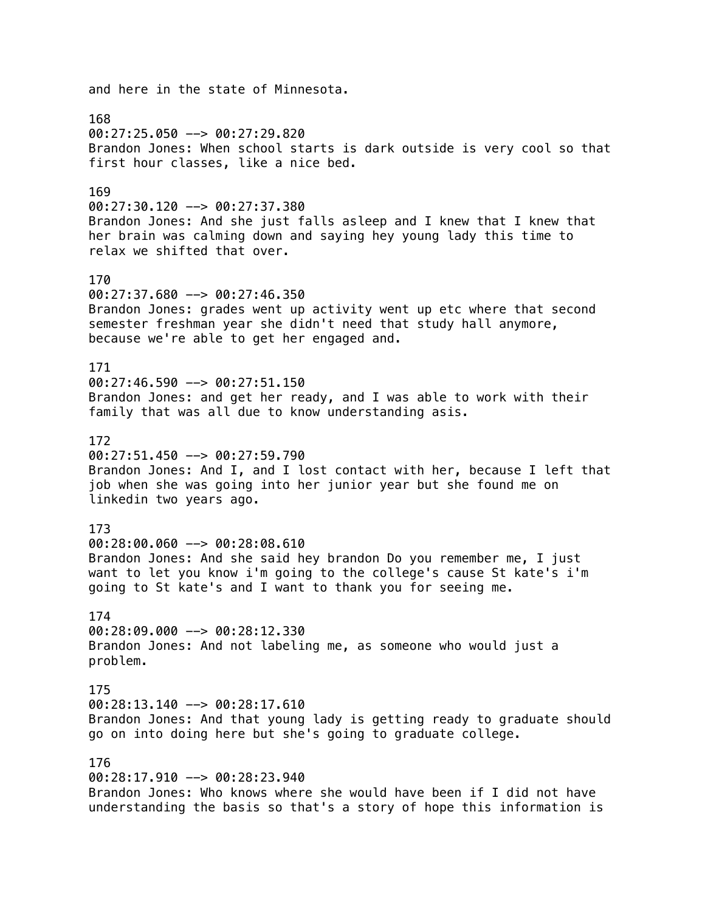and here in the state of Minnesota. 168 00:27:25.050 --> 00:27:29.820 Brandon Jones: When school starts is dark outside is very cool so that first hour classes, like a nice bed. 169  $00:27:30.120$  -->  $00:27:37.380$ Brandon Jones: And she just falls asleep and I knew that I knew that her brain was calming down and saying hey young lady this time to relax we shifted that over. 170  $00:27:37.680$  -->  $00:27:46.350$ Brandon Jones: grades went up activity went up etc where that second semester freshman year she didn't need that study hall anymore, because we're able to get her engaged and. 171  $00:27:46.590$  -->  $00:27:51.150$ Brandon Jones: and get her ready, and I was able to work with their family that was all due to know understanding asis. 172 00:27:51.450 --> 00:27:59.790 Brandon Jones: And I, and I lost contact with her, because I left that job when she was going into her junior year but she found me on linkedin two years ago. 173 00:28:00.060 --> 00:28:08.610 Brandon Jones: And she said hey brandon Do you remember me, I just want to let you know i'm going to the college's cause St kate's i'm going to St kate's and I want to thank you for seeing me. 174 00:28:09.000 --> 00:28:12.330 Brandon Jones: And not labeling me, as someone who would just a problem. 175  $00:28:13.140$  -->  $00:28:17.610$ Brandon Jones: And that young lady is getting ready to graduate should go on into doing here but she's going to graduate college. 176  $00:28:17.910$  -->  $00:28:23.940$ Brandon Jones: Who knows where she would have been if I did not have understanding the basis so that's a story of hope this information is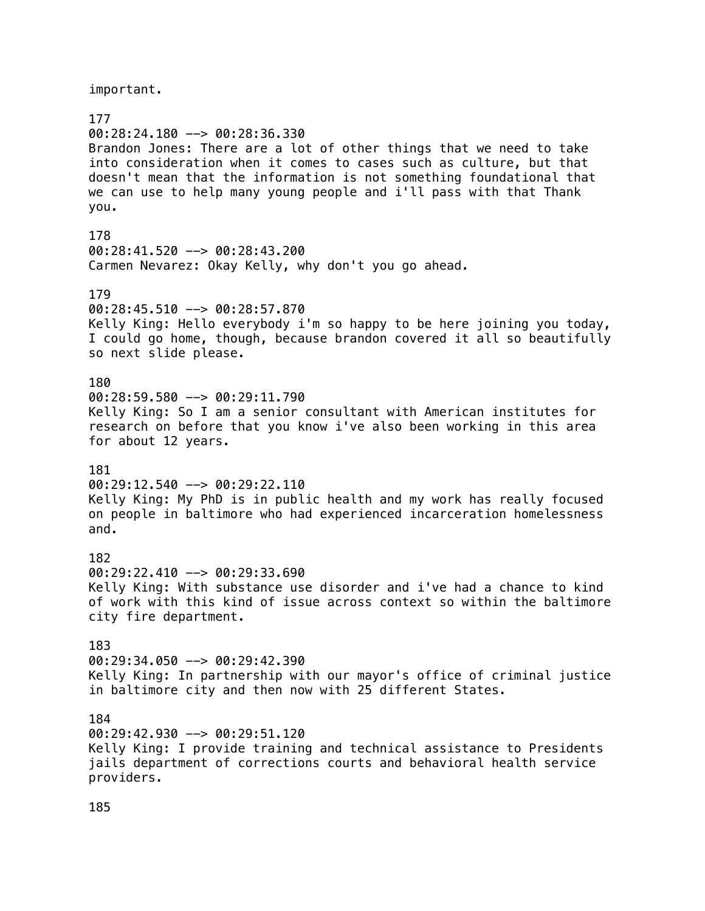important.

177 00:28:24.180 --> 00:28:36.330 Brandon Jones: There are a lot of other things that we need to take into consideration when it comes to cases such as culture, but that doesn't mean that the information is not something foundational that we can use to help many young people and i'll pass with that Thank you. 178 00:28:41.520 --> 00:28:43.200 Carmen Nevarez: Okay Kelly, why don't you go ahead. 179 00:28:45.510 --> 00:28:57.870 Kelly King: Hello everybody i'm so happy to be here joining you today, I could go home, though, because brandon covered it all so beautifully so next slide please. 180 00:28:59.580 --> 00:29:11.790 Kelly King: So I am a senior consultant with American institutes for research on before that you know i've also been working in this area for about 12 years. 181  $00:29:12.540$  -->  $00:29:22.110$ Kelly King: My PhD is in public health and my work has really focused on people in baltimore who had experienced incarceration homelessness and. 182 00:29:22.410 --> 00:29:33.690 Kelly King: With substance use disorder and i've had a chance to kind of work with this kind of issue across context so within the baltimore city fire department. 183  $00:29:34.050$  -->  $00:29:42.390$ Kelly King: In partnership with our mayor's office of criminal justice in baltimore city and then now with 25 different States. 184 00:29:42.930 --> 00:29:51.120 Kelly King: I provide training and technical assistance to Presidents jails department of corrections courts and behavioral health service providers.

185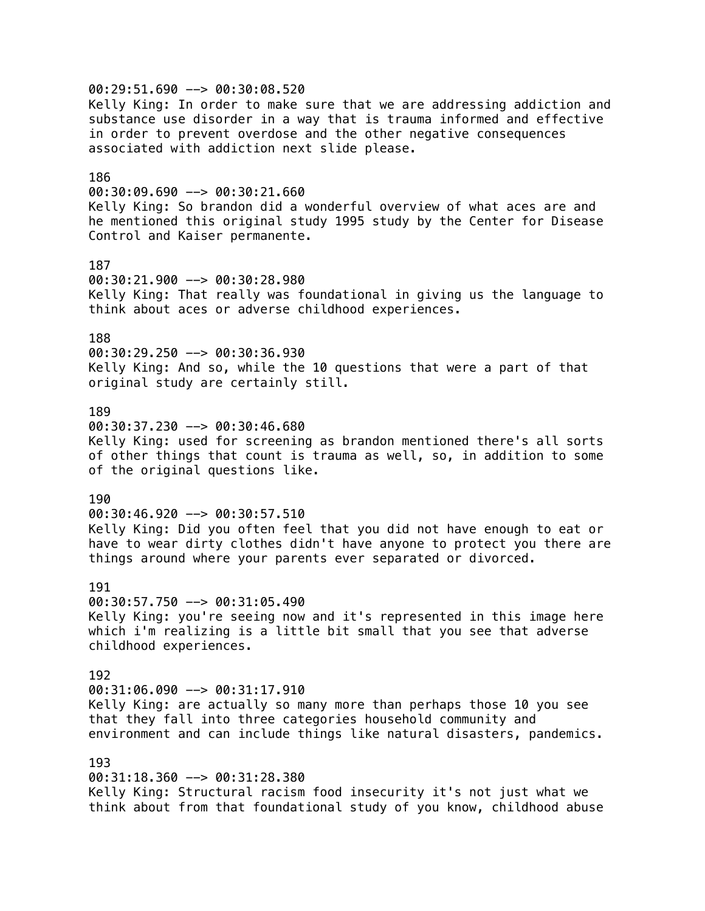00:29:51.690 --> 00:30:08.520 Kelly King: In order to make sure that we are addressing addiction and substance use disorder in a way that is trauma informed and effective in order to prevent overdose and the other negative consequences associated with addiction next slide please. 186  $00:30:09.690$  -->  $00:30:21.660$ Kelly King: So brandon did a wonderful overview of what aces are and he mentioned this original study 1995 study by the Center for Disease Control and Kaiser permanente. 187 00:30:21.900 --> 00:30:28.980 Kelly King: That really was foundational in giving us the language to think about aces or adverse childhood experiences. 188 00:30:29.250 --> 00:30:36.930 Kelly King: And so, while the 10 questions that were a part of that original study are certainly still. 189 00:30:37.230 --> 00:30:46.680 Kelly King: used for screening as brandon mentioned there's all sorts of other things that count is trauma as well, so, in addition to some of the original questions like. 190  $00:30:46.920$  -->  $00:30:57.510$ Kelly King: Did you often feel that you did not have enough to eat or have to wear dirty clothes didn't have anyone to protect you there are things around where your parents ever separated or divorced. 191 00:30:57.750 --> 00:31:05.490 Kelly King: you're seeing now and it's represented in this image here which i'm realizing is a little bit small that you see that adverse childhood experiences. 192  $00:31:06.090$  -->  $00:31:17.910$ Kelly King: are actually so many more than perhaps those 10 you see that they fall into three categories household community and environment and can include things like natural disasters, pandemics. 193 00:31:18.360 --> 00:31:28.380 Kelly King: Structural racism food insecurity it's not just what we think about from that foundational study of you know, childhood abuse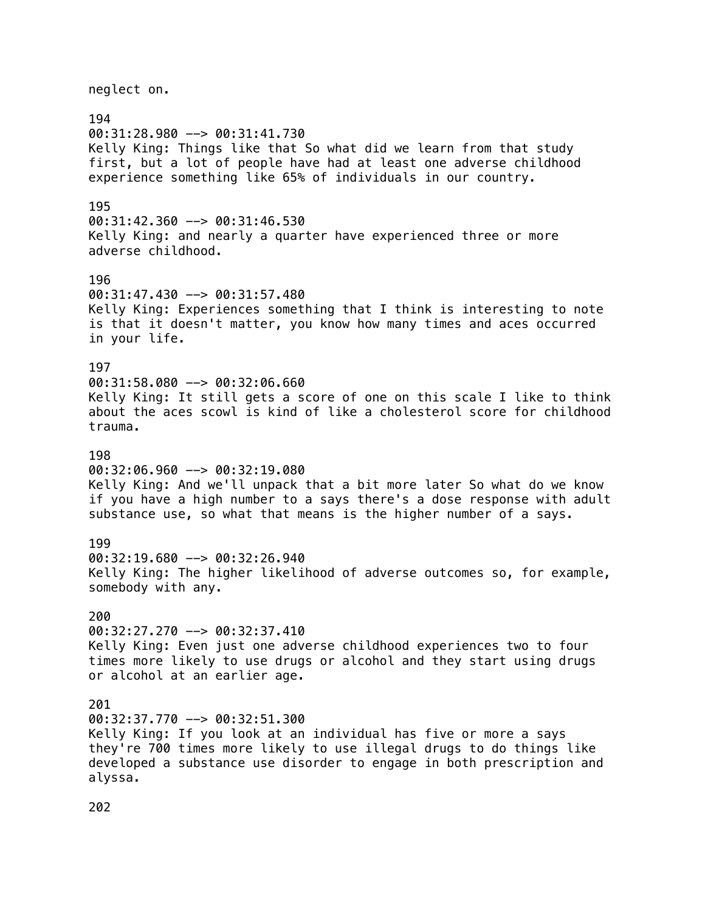neglect on. 194 00:31:28.980 --> 00:31:41.730 Kelly King: Things like that So what did we learn from that study first, but a lot of people have had at least one adverse childhood experience something like 65% of individuals in our country. 195 00:31:42.360 --> 00:31:46.530 Kelly King: and nearly a quarter have experienced three or more adverse childhood. 196 00:31:47.430 --> 00:31:57.480 Kelly King: Experiences something that I think is interesting to note is that it doesn't matter, you know how many times and aces occurred in your life. 197 00:31:58.080 --> 00:32:06.660 Kelly King: It still gets a score of one on this scale I like to think about the aces scowl is kind of like a cholesterol score for childhood trauma. 198 00:32:06.960 --> 00:32:19.080 Kelly King: And we'll unpack that a bit more later So what do we know if you have a high number to a says there's a dose response with adult substance use, so what that means is the higher number of a says. 199 00:32:19.680 --> 00:32:26.940 Kelly King: The higher likelihood of adverse outcomes so, for example, somebody with any. 200 00:32:27.270 --> 00:32:37.410 Kelly King: Even just one adverse childhood experiences two to four times more likely to use drugs or alcohol and they start using drugs or alcohol at an earlier age. 201 00:32:37.770 --> 00:32:51.300 Kelly King: If you look at an individual has five or more a says they're 700 times more likely to use illegal drugs to do things like developed a substance use disorder to engage in both prescription and alyssa.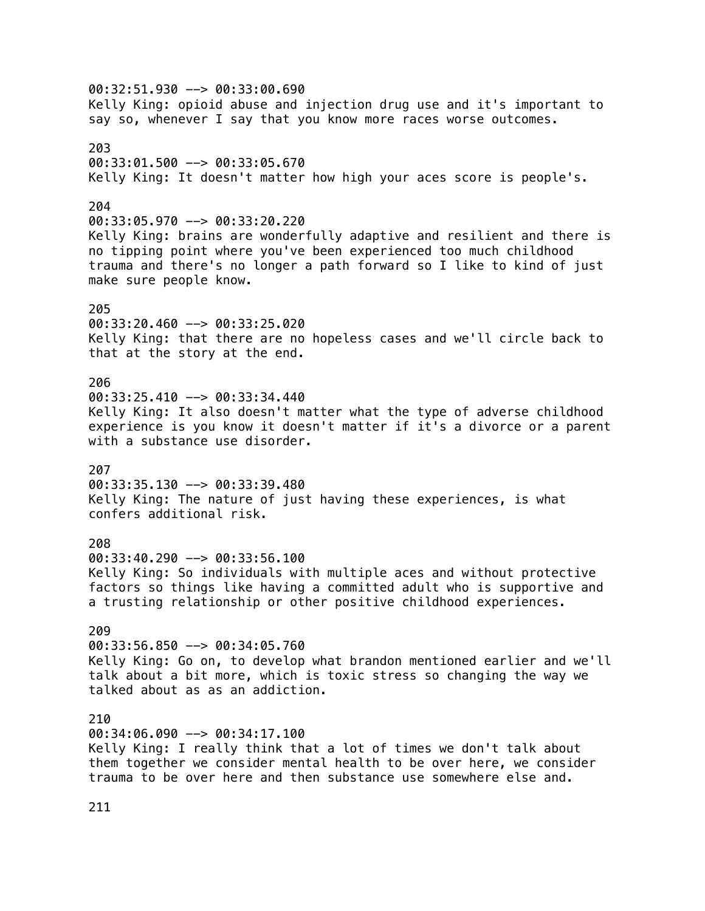00:32:51.930 --> 00:33:00.690 Kelly King: opioid abuse and injection drug use and it's important to say so, whenever I say that you know more races worse outcomes. 203 00:33:01.500 --> 00:33:05.670 Kelly King: It doesn't matter how high your aces score is people's. 204 00:33:05.970 --> 00:33:20.220 Kelly King: brains are wonderfully adaptive and resilient and there is no tipping point where you've been experienced too much childhood trauma and there's no longer a path forward so I like to kind of just make sure people know. 205 00:33:20.460 --> 00:33:25.020 Kelly King: that there are no hopeless cases and we'll circle back to that at the story at the end. 206  $00:33:25.410$  -->  $00:33:34.440$ Kelly King: It also doesn't matter what the type of adverse childhood experience is you know it doesn't matter if it's a divorce or a parent with a substance use disorder. 207 00:33:35.130 --> 00:33:39.480 Kelly King: The nature of just having these experiences, is what confers additional risk. 208 00:33:40.290 --> 00:33:56.100 Kelly King: So individuals with multiple aces and without protective factors so things like having a committed adult who is supportive and a trusting relationship or other positive childhood experiences. 209 00:33:56.850 --> 00:34:05.760 Kelly King: Go on, to develop what brandon mentioned earlier and we'll talk about a bit more, which is toxic stress so changing the way we talked about as as an addiction. 210 00:34:06.090 --> 00:34:17.100 Kelly King: I really think that a lot of times we don't talk about them together we consider mental health to be over here, we consider trauma to be over here and then substance use somewhere else and.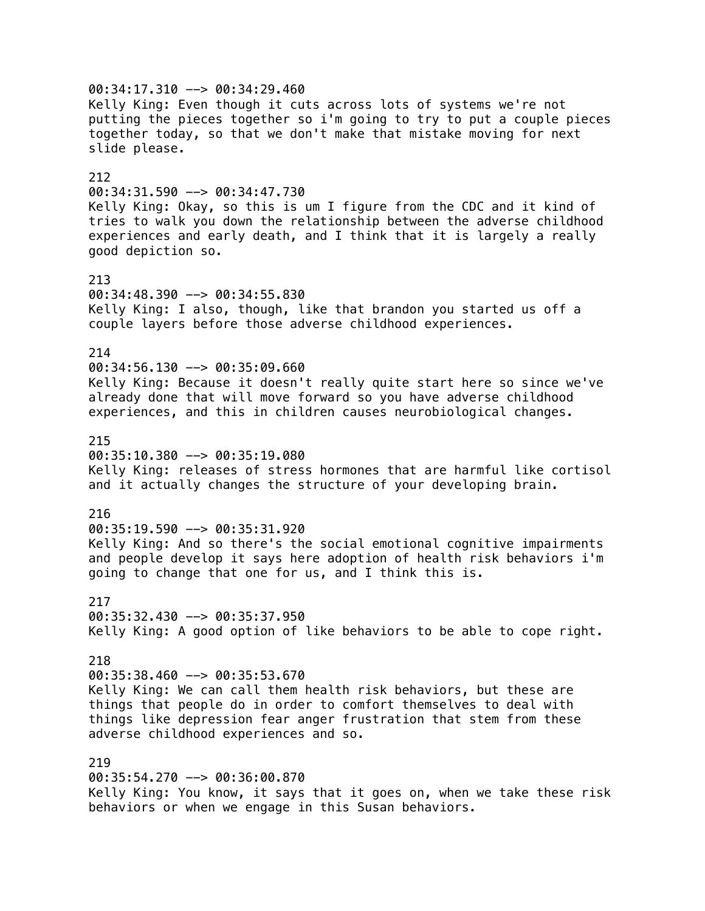00:34:17.310 --> 00:34:29.460 Kelly King: Even though it cuts across lots of systems we're not putting the pieces together so i'm going to try to put a couple pieces together today, so that we don't make that mistake moving for next slide please. 212 00:34:31.590 --> 00:34:47.730 Kelly King: Okay, so this is um I figure from the CDC and it kind of tries to walk you down the relationship between the adverse childhood experiences and early death, and I think that it is largely a really good depiction so. 213 00:34:48.390 --> 00:34:55.830 Kelly King: I also, though, like that brandon you started us off a couple layers before those adverse childhood experiences. 214  $00:34:56.130$  -->  $00:35:09.660$ Kelly King: Because it doesn't really quite start here so since we've already done that will move forward so you have adverse childhood experiences, and this in children causes neurobiological changes. 215 00:35:10.380 --> 00:35:19.080 Kelly King: releases of stress hormones that are harmful like cortisol and it actually changes the structure of your developing brain. 216  $00:35:19.590$  -->  $00:35:31.920$ Kelly King: And so there's the social emotional cognitive impairments and people develop it says here adoption of health risk behaviors i'm going to change that one for us, and I think this is. 217  $00:35:32.430 \rightarrow 00:35:37.950$ Kelly King: A good option of like behaviors to be able to cope right. 218 00:35:38.460 --> 00:35:53.670 Kelly King: We can call them health risk behaviors, but these are things that people do in order to comfort themselves to deal with things like depression fear anger frustration that stem from these adverse childhood experiences and so. 219 00:35:54.270 --> 00:36:00.870 Kelly King: You know, it says that it goes on, when we take these risk behaviors or when we engage in this Susan behaviors.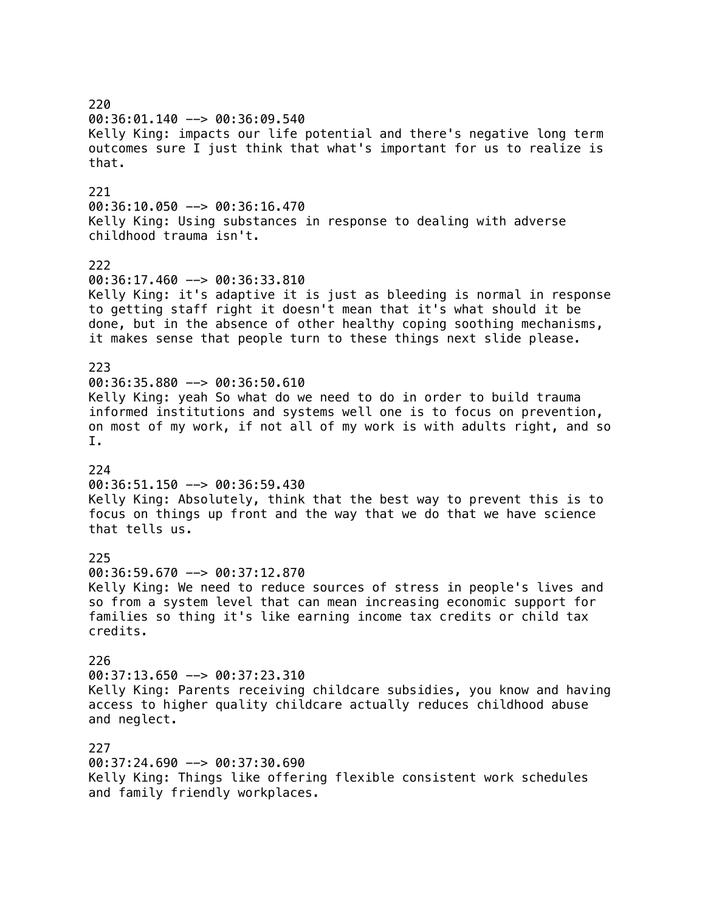220 00:36:01.140 --> 00:36:09.540 Kelly King: impacts our life potential and there's negative long term outcomes sure I just think that what's important for us to realize is that. 221  $00:36:10.050$  -->  $00:36:16.470$ Kelly King: Using substances in response to dealing with adverse childhood trauma isn't. 222 00:36:17.460 --> 00:36:33.810 Kelly King: it's adaptive it is just as bleeding is normal in response to getting staff right it doesn't mean that it's what should it be done, but in the absence of other healthy coping soothing mechanisms, it makes sense that people turn to these things next slide please. 223 00:36:35.880 --> 00:36:50.610 Kelly King: yeah So what do we need to do in order to build trauma informed institutions and systems well one is to focus on prevention, on most of my work, if not all of my work is with adults right, and so I. 224 00:36:51.150 --> 00:36:59.430 Kelly King: Absolutely, think that the best way to prevent this is to focus on things up front and the way that we do that we have science that tells us. 225 00:36:59.670 --> 00:37:12.870 Kelly King: We need to reduce sources of stress in people's lives and so from a system level that can mean increasing economic support for families so thing it's like earning income tax credits or child tax credits. 226 00:37:13.650 --> 00:37:23.310 Kelly King: Parents receiving childcare subsidies, you know and having access to higher quality childcare actually reduces childhood abuse and neglect. 227 00:37:24.690 --> 00:37:30.690 Kelly King: Things like offering flexible consistent work schedules and family friendly workplaces.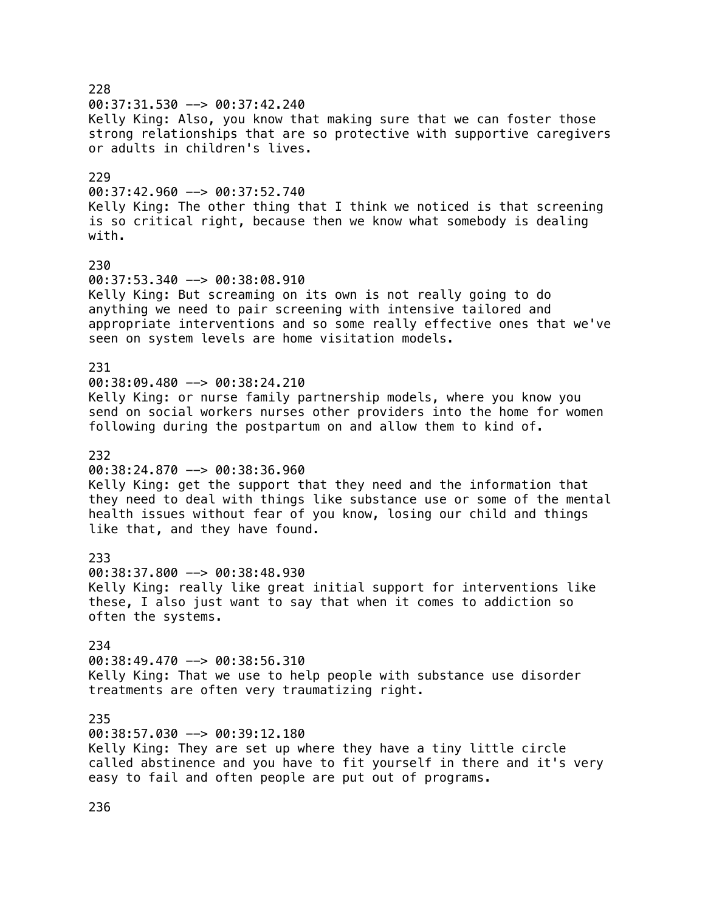228 00:37:31.530 --> 00:37:42.240 Kelly King: Also, you know that making sure that we can foster those strong relationships that are so protective with supportive caregivers or adults in children's lives. 229  $00:37:42.960$  -->  $00:37:52.740$ Kelly King: The other thing that I think we noticed is that screening is so critical right, because then we know what somebody is dealing with. 230 00:37:53.340 --> 00:38:08.910 Kelly King: But screaming on its own is not really going to do anything we need to pair screening with intensive tailored and appropriate interventions and so some really effective ones that we've seen on system levels are home visitation models. 231 00:38:09.480 --> 00:38:24.210 Kelly King: or nurse family partnership models, where you know you send on social workers nurses other providers into the home for women following during the postpartum on and allow them to kind of. 232 00:38:24.870 --> 00:38:36.960 Kelly King: get the support that they need and the information that they need to deal with things like substance use or some of the mental health issues without fear of you know, losing our child and things like that, and they have found. 233 00:38:37.800 --> 00:38:48.930 Kelly King: really like great initial support for interventions like these, I also just want to say that when it comes to addiction so often the systems. 234 00:38:49.470 --> 00:38:56.310 Kelly King: That we use to help people with substance use disorder treatments are often very traumatizing right. 235 00:38:57.030 --> 00:39:12.180 Kelly King: They are set up where they have a tiny little circle called abstinence and you have to fit yourself in there and it's very easy to fail and often people are put out of programs.

236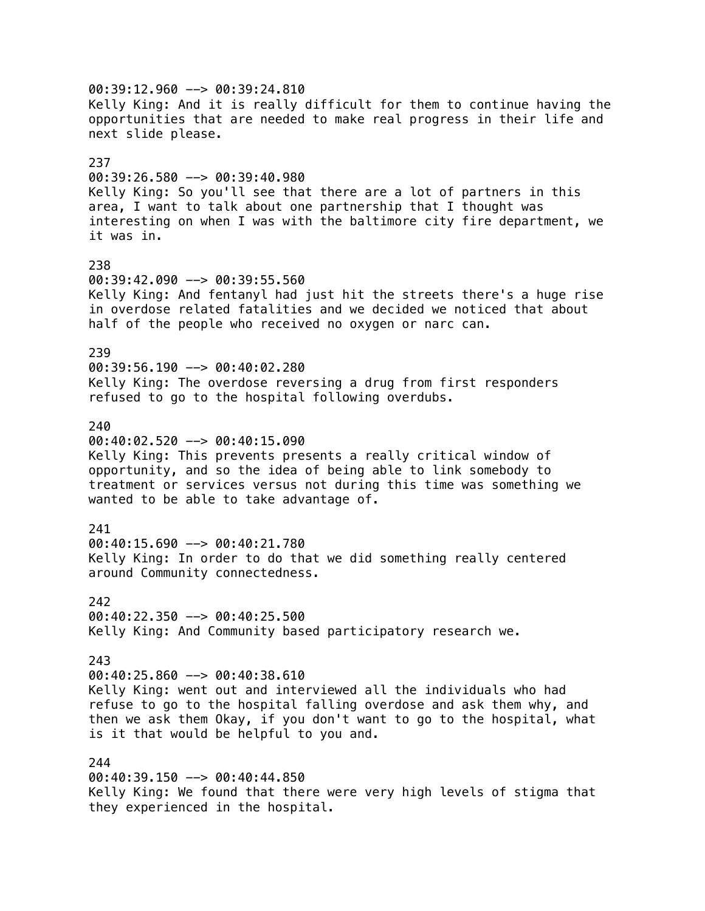00:39:12.960 --> 00:39:24.810 Kelly King: And it is really difficult for them to continue having the opportunities that are needed to make real progress in their life and next slide please. 237 00:39:26.580 --> 00:39:40.980 Kelly King: So you'll see that there are a lot of partners in this area, I want to talk about one partnership that I thought was interesting on when I was with the baltimore city fire department, we it was in. 238 00:39:42.090 --> 00:39:55.560 Kelly King: And fentanyl had just hit the streets there's a huge rise in overdose related fatalities and we decided we noticed that about half of the people who received no oxygen or narc can. 239 00:39:56.190 --> 00:40:02.280 Kelly King: The overdose reversing a drug from first responders refused to go to the hospital following overdubs. 240 00:40:02.520 --> 00:40:15.090 Kelly King: This prevents presents a really critical window of opportunity, and so the idea of being able to link somebody to treatment or services versus not during this time was something we wanted to be able to take advantage of. 241 00:40:15.690 --> 00:40:21.780 Kelly King: In order to do that we did something really centered around Community connectedness. 242  $00:40:22.350$  -->  $00:40:25.500$ Kelly King: And Community based participatory research we. 243 00:40:25.860 --> 00:40:38.610 Kelly King: went out and interviewed all the individuals who had refuse to go to the hospital falling overdose and ask them why, and then we ask them Okay, if you don't want to go to the hospital, what is it that would be helpful to you and. 244 00:40:39.150 --> 00:40:44.850 Kelly King: We found that there were very high levels of stigma that

they experienced in the hospital.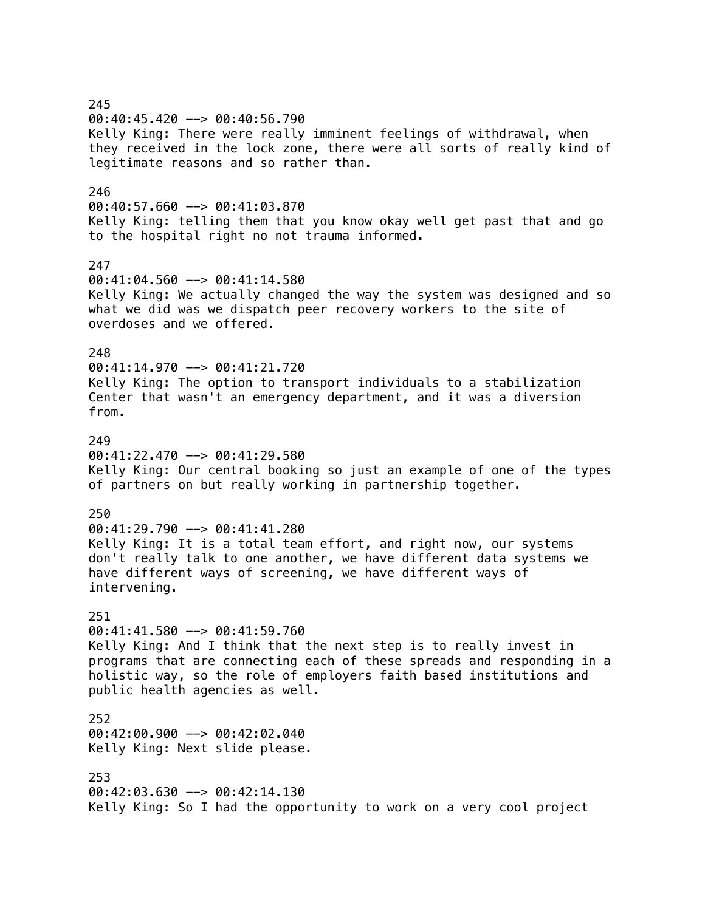245 00:40:45.420 --> 00:40:56.790 Kelly King: There were really imminent feelings of withdrawal, when they received in the lock zone, there were all sorts of really kind of legitimate reasons and so rather than. 246  $00:40:57.660$  -->  $00:41:03.870$ Kelly King: telling them that you know okay well get past that and go to the hospital right no not trauma informed. 247 00:41:04.560 --> 00:41:14.580 Kelly King: We actually changed the way the system was designed and so what we did was we dispatch peer recovery workers to the site of overdoses and we offered. 248 00:41:14.970 --> 00:41:21.720 Kelly King: The option to transport individuals to a stabilization Center that wasn't an emergency department, and it was a diversion from. 249 00:41:22.470 --> 00:41:29.580 Kelly King: Our central booking so just an example of one of the types of partners on but really working in partnership together. 250 00:41:29.790 --> 00:41:41.280 Kelly King: It is a total team effort, and right now, our systems don't really talk to one another, we have different data systems we have different ways of screening, we have different ways of intervening. 251 00:41:41.580 --> 00:41:59.760 Kelly King: And I think that the next step is to really invest in programs that are connecting each of these spreads and responding in a holistic way, so the role of employers faith based institutions and public health agencies as well. 252 00:42:00.900 --> 00:42:02.040 Kelly King: Next slide please. 253 00:42:03.630 --> 00:42:14.130 Kelly King: So I had the opportunity to work on a very cool project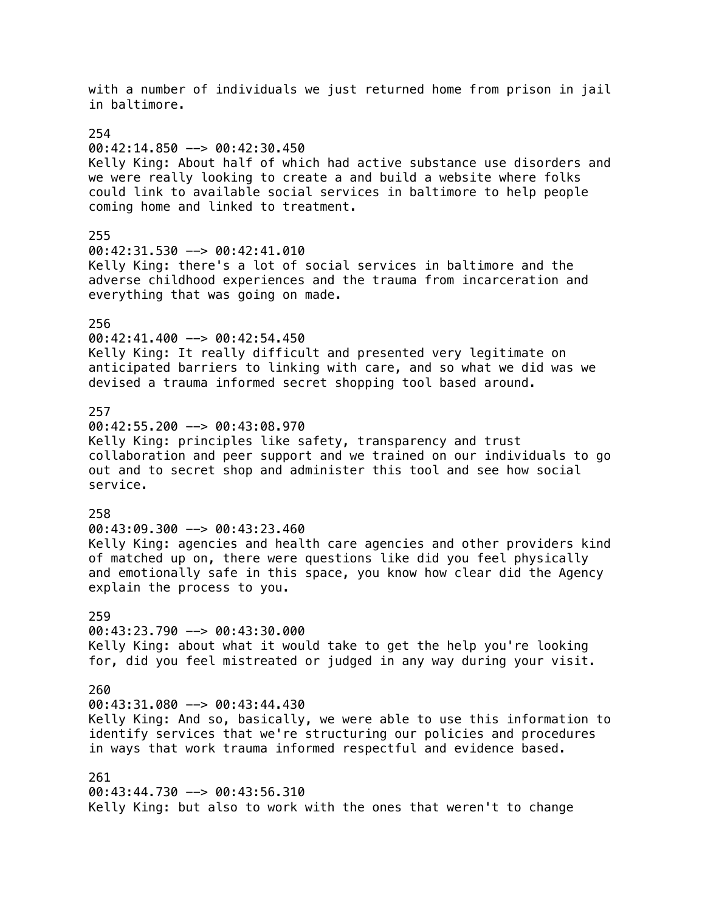with a number of individuals we just returned home from prison in jail in baltimore. 254  $00:42:14.850$  -->  $00:42:30.450$ Kelly King: About half of which had active substance use disorders and we were really looking to create a and build a website where folks could link to available social services in baltimore to help people coming home and linked to treatment. 255 00:42:31.530 --> 00:42:41.010 Kelly King: there's a lot of social services in baltimore and the adverse childhood experiences and the trauma from incarceration and everything that was going on made. 256 00:42:41.400 --> 00:42:54.450 Kelly King: It really difficult and presented very legitimate on anticipated barriers to linking with care, and so what we did was we devised a trauma informed secret shopping tool based around. 257 00:42:55.200 --> 00:43:08.970 Kelly King: principles like safety, transparency and trust collaboration and peer support and we trained on our individuals to go out and to secret shop and administer this tool and see how social service. 258 00:43:09.300 --> 00:43:23.460 Kelly King: agencies and health care agencies and other providers kind of matched up on, there were questions like did you feel physically and emotionally safe in this space, you know how clear did the Agency explain the process to you. 259 00:43:23.790 --> 00:43:30.000 Kelly King: about what it would take to get the help you're looking for, did you feel mistreated or judged in any way during your visit. 260 00:43:31.080 --> 00:43:44.430 Kelly King: And so, basically, we were able to use this information to identify services that we're structuring our policies and procedures in ways that work trauma informed respectful and evidence based. 261  $00:43:44.730$  -->  $00:43:56.310$ Kelly King: but also to work with the ones that weren't to change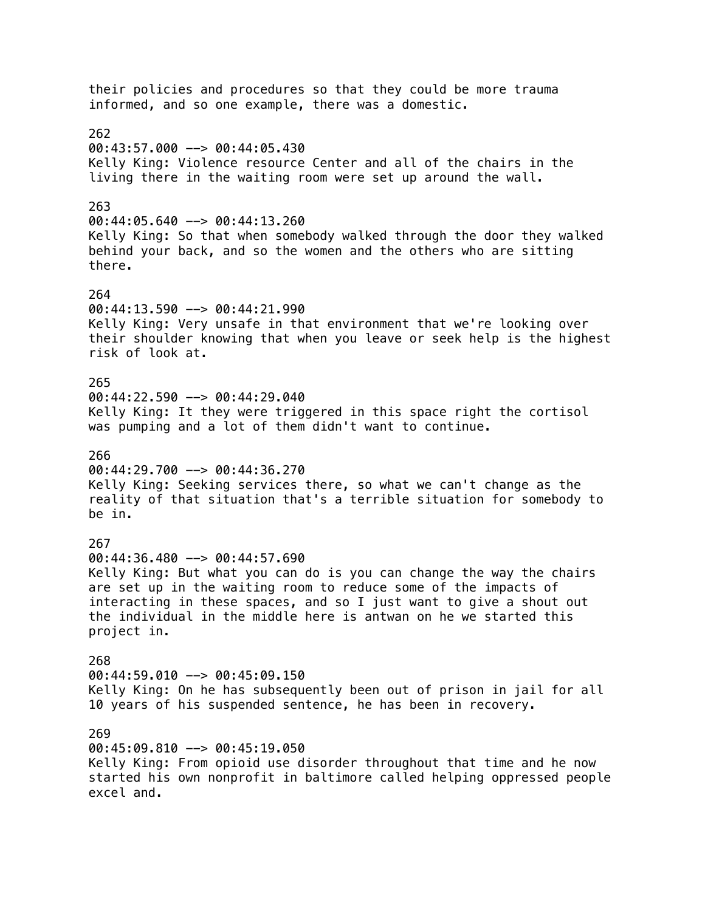their policies and procedures so that they could be more trauma informed, and so one example, there was a domestic. 262  $00:43:57.000$  -->  $00:44:05.430$ Kelly King: Violence resource Center and all of the chairs in the living there in the waiting room were set up around the wall. 263 00:44:05.640 --> 00:44:13.260 Kelly King: So that when somebody walked through the door they walked behind your back, and so the women and the others who are sitting there. 264 00:44:13.590 --> 00:44:21.990 Kelly King: Very unsafe in that environment that we're looking over their shoulder knowing that when you leave or seek help is the highest risk of look at. 265  $00:44:22.590$  -->  $00:44:29.040$ Kelly King: It they were triggered in this space right the cortisol was pumping and a lot of them didn't want to continue. 266 00:44:29.700 --> 00:44:36.270 Kelly King: Seeking services there, so what we can't change as the reality of that situation that's a terrible situation for somebody to be in. 267 00:44:36.480 --> 00:44:57.690 Kelly King: But what you can do is you can change the way the chairs are set up in the waiting room to reduce some of the impacts of interacting in these spaces, and so I just want to give a shout out the individual in the middle here is antwan on he we started this project in. 268 00:44:59.010 --> 00:45:09.150 Kelly King: On he has subsequently been out of prison in jail for all 10 years of his suspended sentence, he has been in recovery. 269 00:45:09.810 --> 00:45:19.050 Kelly King: From opioid use disorder throughout that time and he now started his own nonprofit in baltimore called helping oppressed people excel and.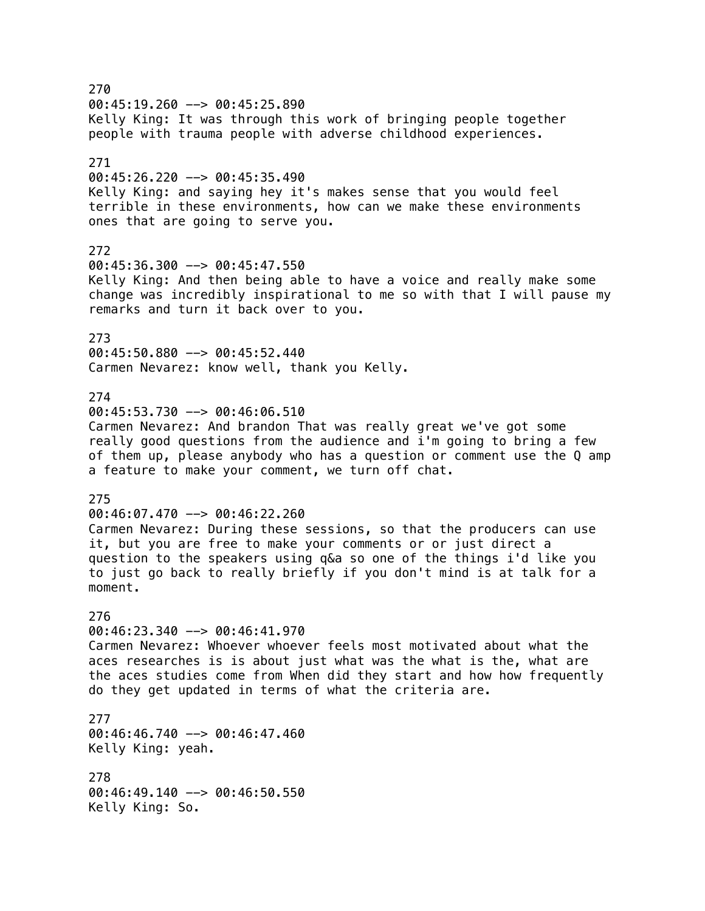270 00:45:19.260 --> 00:45:25.890 Kelly King: It was through this work of bringing people together people with trauma people with adverse childhood experiences. 271 00:45:26.220 --> 00:45:35.490 Kelly King: and saying hey it's makes sense that you would feel terrible in these environments, how can we make these environments ones that are going to serve you. 272 00:45:36.300 --> 00:45:47.550 Kelly King: And then being able to have a voice and really make some change was incredibly inspirational to me so with that I will pause my remarks and turn it back over to you. 273 00:45:50.880 --> 00:45:52.440 Carmen Nevarez: know well, thank you Kelly. 274 00:45:53.730 --> 00:46:06.510 Carmen Nevarez: And brandon That was really great we've got some really good questions from the audience and i'm going to bring a few of them up, please anybody who has a question or comment use the Q amp a feature to make your comment, we turn off chat. 275 00:46:07.470 --> 00:46:22.260 Carmen Nevarez: During these sessions, so that the producers can use it, but you are free to make your comments or or just direct a question to the speakers using q&a so one of the things i'd like you to just go back to really briefly if you don't mind is at talk for a moment. 276 00:46:23.340 --> 00:46:41.970 Carmen Nevarez: Whoever whoever feels most motivated about what the aces researches is is about just what was the what is the, what are the aces studies come from When did they start and how how frequently do they get updated in terms of what the criteria are. 277 00:46:46.740 --> 00:46:47.460 Kelly King: yeah. 278 00:46:49.140 --> 00:46:50.550 Kelly King: So.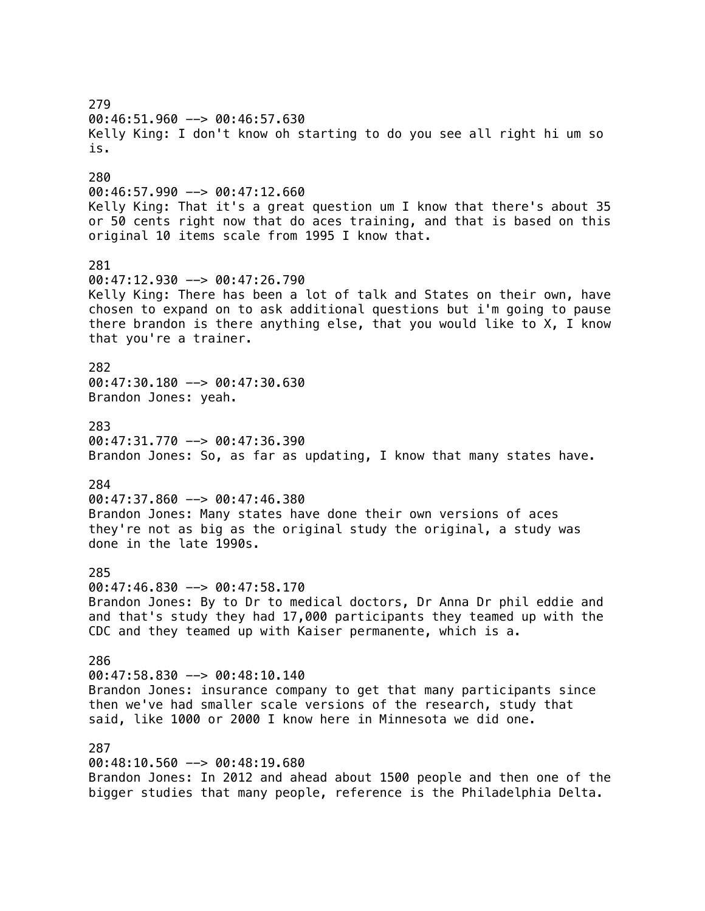279 00:46:51.960 --> 00:46:57.630 Kelly King: I don't know oh starting to do you see all right hi um so is. 280 00:46:57.990 --> 00:47:12.660 Kelly King: That it's a great question um I know that there's about 35 or 50 cents right now that do aces training, and that is based on this original 10 items scale from 1995 I know that. 281 00:47:12.930 --> 00:47:26.790 Kelly King: There has been a lot of talk and States on their own, have chosen to expand on to ask additional questions but i'm going to pause there brandon is there anything else, that you would like to X, I know that you're a trainer. 282 00:47:30.180 --> 00:47:30.630 Brandon Jones: yeah. 283 00:47:31.770 --> 00:47:36.390 Brandon Jones: So, as far as updating, I know that many states have. 284 00:47:37.860 --> 00:47:46.380 Brandon Jones: Many states have done their own versions of aces they're not as big as the original study the original, a study was done in the late 1990s. 285 00:47:46.830 --> 00:47:58.170 Brandon Jones: By to Dr to medical doctors, Dr Anna Dr phil eddie and and that's study they had 17,000 participants they teamed up with the CDC and they teamed up with Kaiser permanente, which is a. 286 00:47:58.830 --> 00:48:10.140 Brandon Jones: insurance company to get that many participants since then we've had smaller scale versions of the research, study that said, like 1000 or 2000 I know here in Minnesota we did one. 287 00:48:10.560 --> 00:48:19.680 Brandon Jones: In 2012 and ahead about 1500 people and then one of the

bigger studies that many people, reference is the Philadelphia Delta.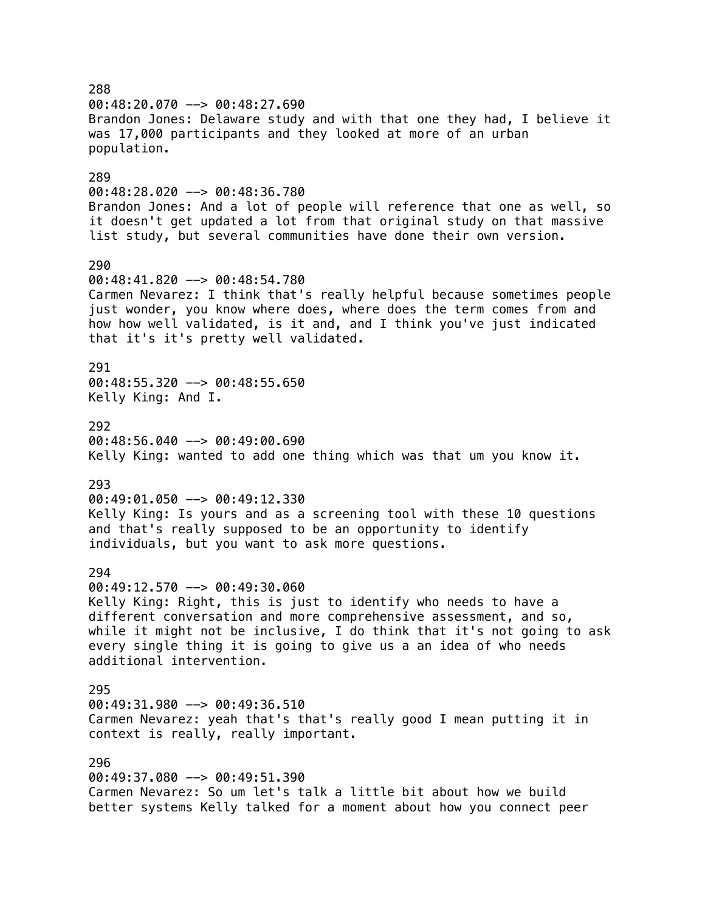288 00:48:20.070 --> 00:48:27.690 Brandon Jones: Delaware study and with that one they had, I believe it was 17,000 participants and they looked at more of an urban population. 289 00:48:28.020 --> 00:48:36.780 Brandon Jones: And a lot of people will reference that one as well, so it doesn't get updated a lot from that original study on that massive list study, but several communities have done their own version. 290 00:48:41.820 --> 00:48:54.780 Carmen Nevarez: I think that's really helpful because sometimes people just wonder, you know where does, where does the term comes from and how how well validated, is it and, and I think you've just indicated that it's it's pretty well validated. 291 00:48:55.320 --> 00:48:55.650 Kelly King: And I. 292  $00:48:56.040$  -->  $00:49:00.690$ Kelly King: wanted to add one thing which was that um you know it. 293 00:49:01.050 --> 00:49:12.330 Kelly King: Is yours and as a screening tool with these 10 questions and that's really supposed to be an opportunity to identify individuals, but you want to ask more questions. 294 00:49:12.570 --> 00:49:30.060 Kelly King: Right, this is just to identify who needs to have a different conversation and more comprehensive assessment, and so, while it might not be inclusive, I do think that it's not going to ask every single thing it is going to give us a an idea of who needs additional intervention. 295 00:49:31.980 --> 00:49:36.510 Carmen Nevarez: yeah that's that's really good I mean putting it in context is really, really important. 296 00:49:37.080 --> 00:49:51.390 Carmen Nevarez: So um let's talk a little bit about how we build better systems Kelly talked for a moment about how you connect peer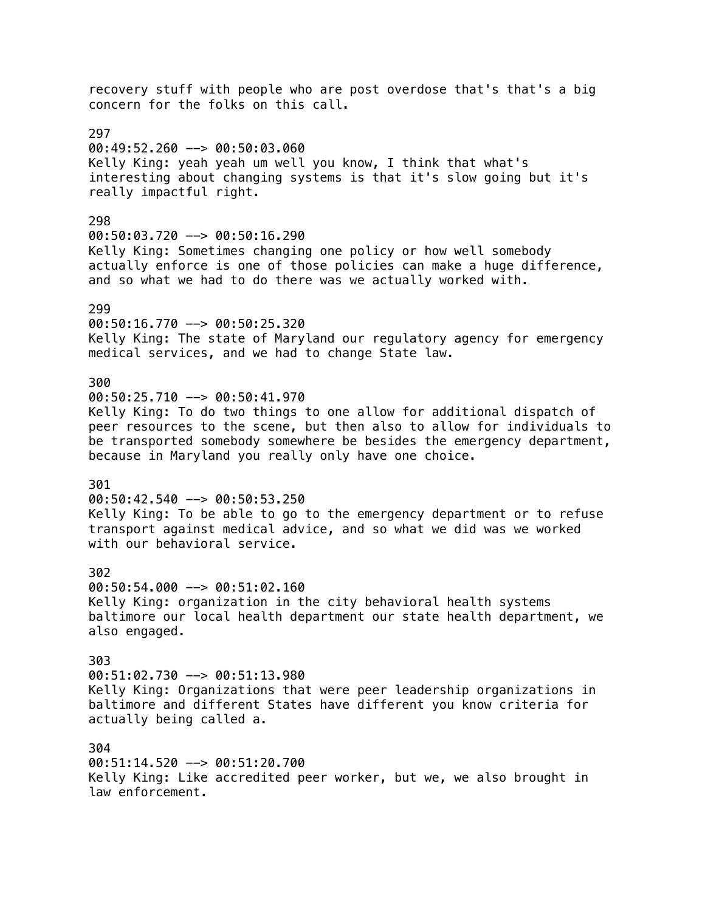recovery stuff with people who are post overdose that's that's a big concern for the folks on this call. 297 00:49:52.260 --> 00:50:03.060 Kelly King: yeah yeah um well you know, I think that what's interesting about changing systems is that it's slow going but it's really impactful right. 298  $00:50:03.720$  -->  $00:50:16.290$ Kelly King: Sometimes changing one policy or how well somebody actually enforce is one of those policies can make a huge difference, and so what we had to do there was we actually worked with. 299 00:50:16.770 --> 00:50:25.320 Kelly King: The state of Maryland our regulatory agency for emergency medical services, and we had to change State law. 300 00:50:25.710 --> 00:50:41.970 Kelly King: To do two things to one allow for additional dispatch of peer resources to the scene, but then also to allow for individuals to be transported somebody somewhere be besides the emergency department, because in Maryland you really only have one choice. 301 00:50:42.540 --> 00:50:53.250 Kelly King: To be able to go to the emergency department or to refuse transport against medical advice, and so what we did was we worked with our behavioral service. 302 00:50:54.000 --> 00:51:02.160 Kelly King: organization in the city behavioral health systems baltimore our local health department our state health department, we also engaged. 303 00:51:02.730 --> 00:51:13.980 Kelly King: Organizations that were peer leadership organizations in baltimore and different States have different you know criteria for actually being called a. 304 00:51:14.520 --> 00:51:20.700 Kelly King: Like accredited peer worker, but we, we also brought in

law enforcement.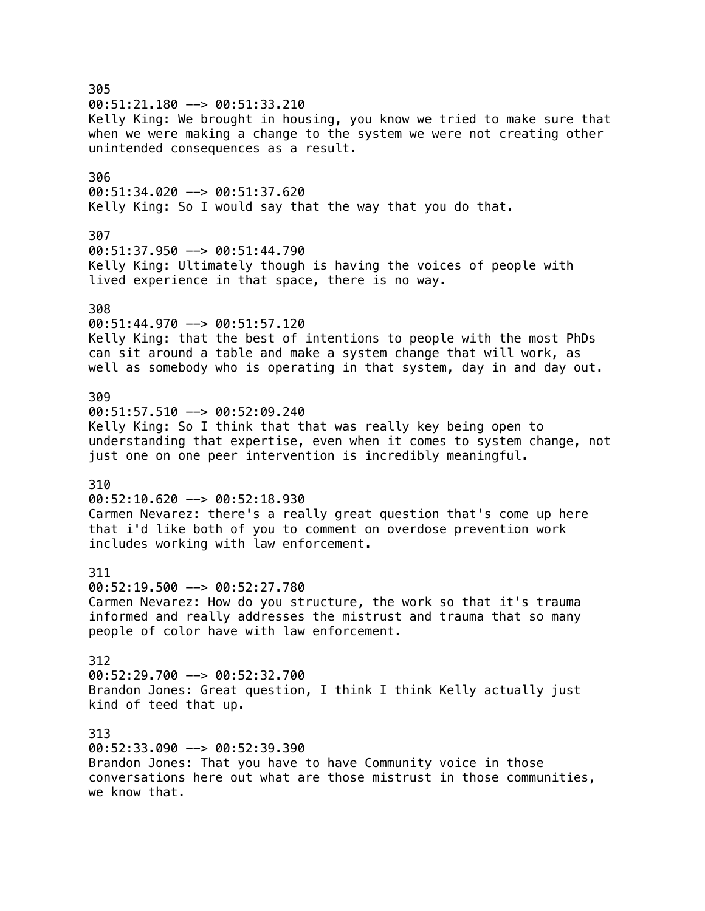305 00:51:21.180 --> 00:51:33.210 Kelly King: We brought in housing, you know we tried to make sure that when we were making a change to the system we were not creating other unintended consequences as a result. 306 00:51:34.020 --> 00:51:37.620 Kelly King: So I would say that the way that you do that. 307 00:51:37.950 --> 00:51:44.790 Kelly King: Ultimately though is having the voices of people with lived experience in that space, there is no way. 308 00:51:44.970 --> 00:51:57.120 Kelly King: that the best of intentions to people with the most PhDs can sit around a table and make a system change that will work, as well as somebody who is operating in that system, day in and day out. 309 00:51:57.510 --> 00:52:09.240 Kelly King: So I think that that was really key being open to understanding that expertise, even when it comes to system change, not just one on one peer intervention is incredibly meaningful. 310  $00:52:10.620$  -->  $00:52:18.930$ Carmen Nevarez: there's a really great question that's come up here that i'd like both of you to comment on overdose prevention work includes working with law enforcement. 311 00:52:19.500 --> 00:52:27.780 Carmen Nevarez: How do you structure, the work so that it's trauma informed and really addresses the mistrust and trauma that so many people of color have with law enforcement. 312 00:52:29.700 --> 00:52:32.700 Brandon Jones: Great question, I think I think Kelly actually just kind of teed that up. 313 00:52:33.090 --> 00:52:39.390 Brandon Jones: That you have to have Community voice in those conversations here out what are those mistrust in those communities, we know that.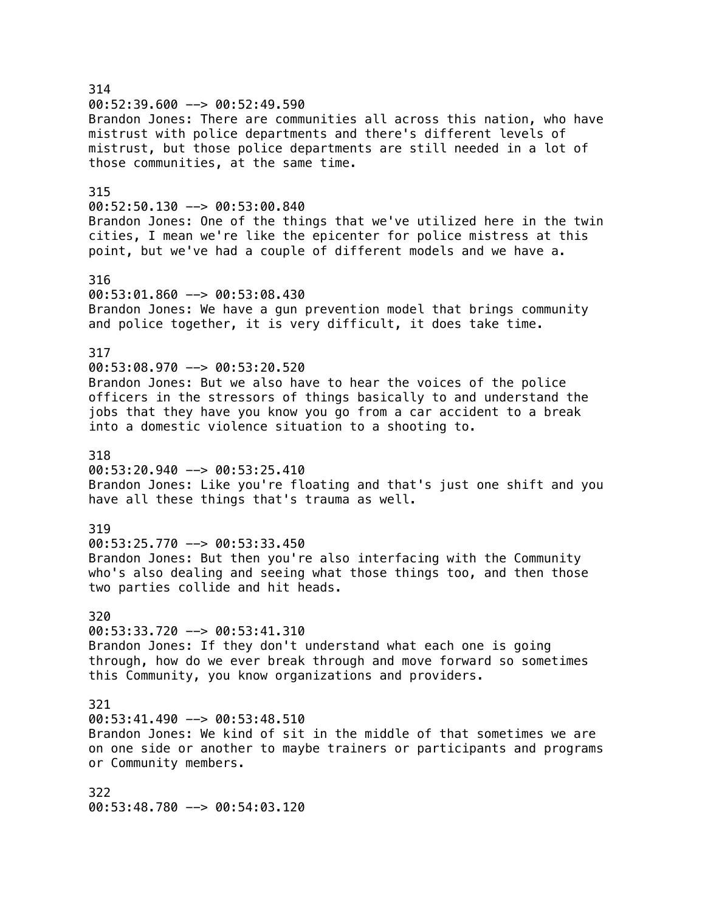314 00:52:39.600 --> 00:52:49.590 Brandon Jones: There are communities all across this nation, who have mistrust with police departments and there's different levels of mistrust, but those police departments are still needed in a lot of those communities, at the same time. 315 00:52:50.130 --> 00:53:00.840 Brandon Jones: One of the things that we've utilized here in the twin cities, I mean we're like the epicenter for police mistress at this point, but we've had a couple of different models and we have a. 316 00:53:01.860 --> 00:53:08.430 Brandon Jones: We have a gun prevention model that brings community and police together, it is very difficult, it does take time. 317 00:53:08.970 --> 00:53:20.520 Brandon Jones: But we also have to hear the voices of the police officers in the stressors of things basically to and understand the jobs that they have you know you go from a car accident to a break into a domestic violence situation to a shooting to. 318  $00:53:20.940$  -->  $00:53:25.410$ Brandon Jones: Like you're floating and that's just one shift and you have all these things that's trauma as well. 319 00:53:25.770 --> 00:53:33.450 Brandon Jones: But then you're also interfacing with the Community who's also dealing and seeing what those things too, and then those two parties collide and hit heads. 320 00:53:33.720 --> 00:53:41.310 Brandon Jones: If they don't understand what each one is going through, how do we ever break through and move forward so sometimes this Community, you know organizations and providers. 321  $00:53:41.490$  -->  $00:53:48.510$ Brandon Jones: We kind of sit in the middle of that sometimes we are on one side or another to maybe trainers or participants and programs or Community members. 322 00:53:48.780 --> 00:54:03.120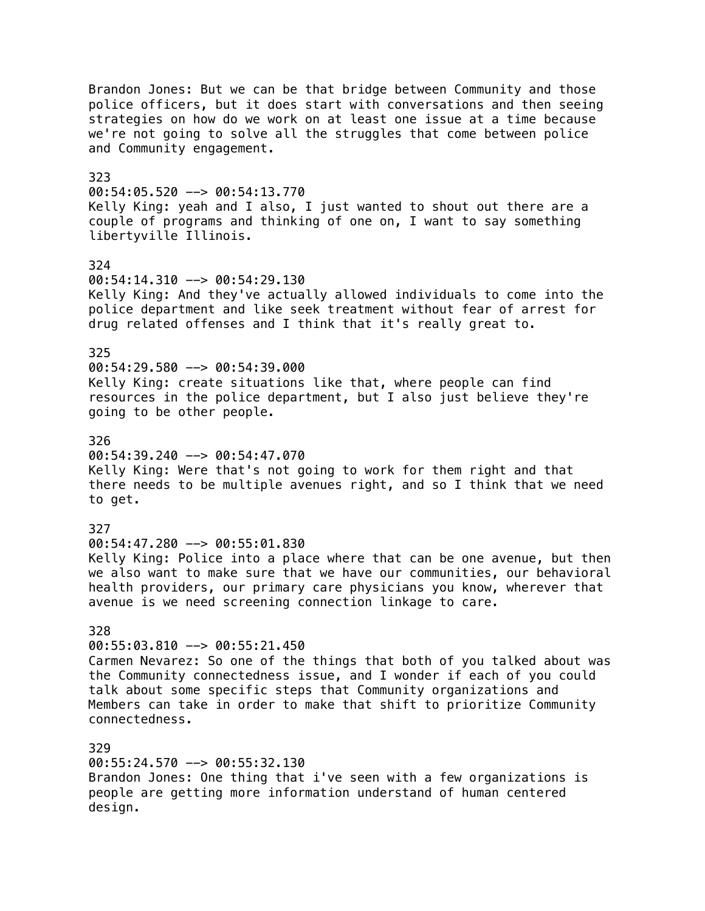Brandon Jones: But we can be that bridge between Community and those police officers, but it does start with conversations and then seeing strategies on how do we work on at least one issue at a time because we're not going to solve all the struggles that come between police and Community engagement. 323 00:54:05.520 --> 00:54:13.770 Kelly King: yeah and I also, I just wanted to shout out there are a couple of programs and thinking of one on, I want to say something libertyville Illinois. 324 00:54:14.310 --> 00:54:29.130 Kelly King: And they've actually allowed individuals to come into the police department and like seek treatment without fear of arrest for drug related offenses and I think that it's really great to. 325 00:54:29.580 --> 00:54:39.000 Kelly King: create situations like that, where people can find resources in the police department, but I also just believe they're going to be other people. 326 00:54:39.240 --> 00:54:47.070 Kelly King: Were that's not going to work for them right and that there needs to be multiple avenues right, and so I think that we need to get. 327 00:54:47.280 --> 00:55:01.830 Kelly King: Police into a place where that can be one avenue, but then we also want to make sure that we have our communities, our behavioral health providers, our primary care physicians you know, wherever that avenue is we need screening connection linkage to care. 328 00:55:03.810 --> 00:55:21.450 Carmen Nevarez: So one of the things that both of you talked about was the Community connectedness issue, and I wonder if each of you could talk about some specific steps that Community organizations and Members can take in order to make that shift to prioritize Community connectedness. 329 00:55:24.570 --> 00:55:32.130 Brandon Jones: One thing that i've seen with a few organizations is people are getting more information understand of human centered design.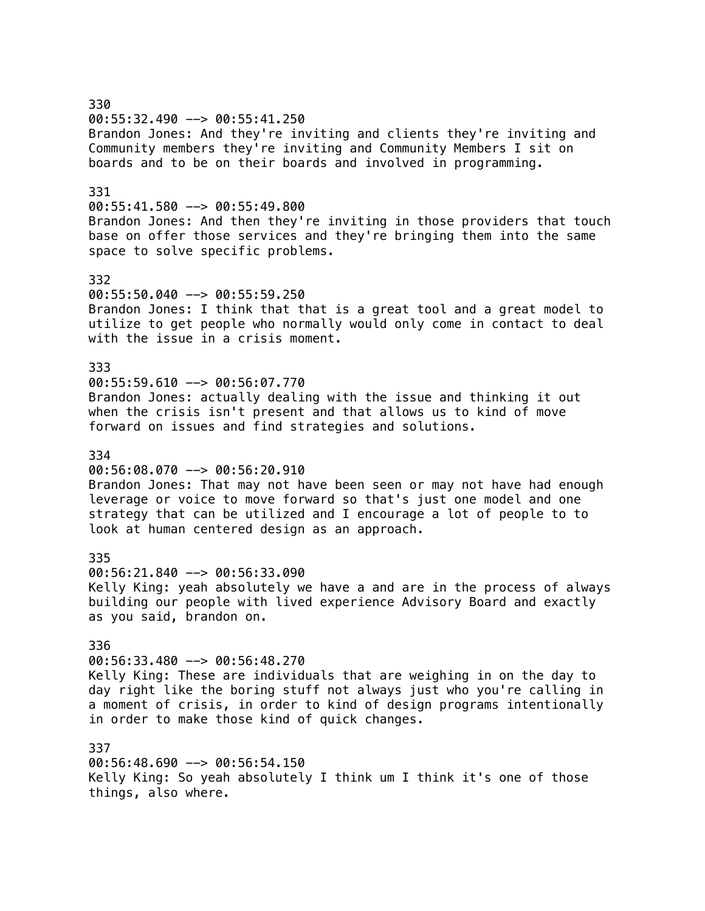330 00:55:32.490 --> 00:55:41.250 Brandon Jones: And they're inviting and clients they're inviting and Community members they're inviting and Community Members I sit on boards and to be on their boards and involved in programming. 331 00:55:41.580 --> 00:55:49.800 Brandon Jones: And then they're inviting in those providers that touch base on offer those services and they're bringing them into the same space to solve specific problems. 332  $00:55:50.040$  -->  $00:55:59.250$ Brandon Jones: I think that that is a great tool and a great model to utilize to get people who normally would only come in contact to deal with the issue in a crisis moment. 333 00:55:59.610 --> 00:56:07.770 Brandon Jones: actually dealing with the issue and thinking it out when the crisis isn't present and that allows us to kind of move forward on issues and find strategies and solutions. 334 00:56:08.070 --> 00:56:20.910 Brandon Jones: That may not have been seen or may not have had enough leverage or voice to move forward so that's just one model and one strategy that can be utilized and I encourage a lot of people to to look at human centered design as an approach. 335 00:56:21.840 --> 00:56:33.090 Kelly King: yeah absolutely we have a and are in the process of always building our people with lived experience Advisory Board and exactly as you said, brandon on. 336 00:56:33.480 --> 00:56:48.270 Kelly King: These are individuals that are weighing in on the day to day right like the boring stuff not always just who you're calling in a moment of crisis, in order to kind of design programs intentionally in order to make those kind of quick changes. 337 00:56:48.690 --> 00:56:54.150 Kelly King: So yeah absolutely I think um I think it's one of those

things, also where.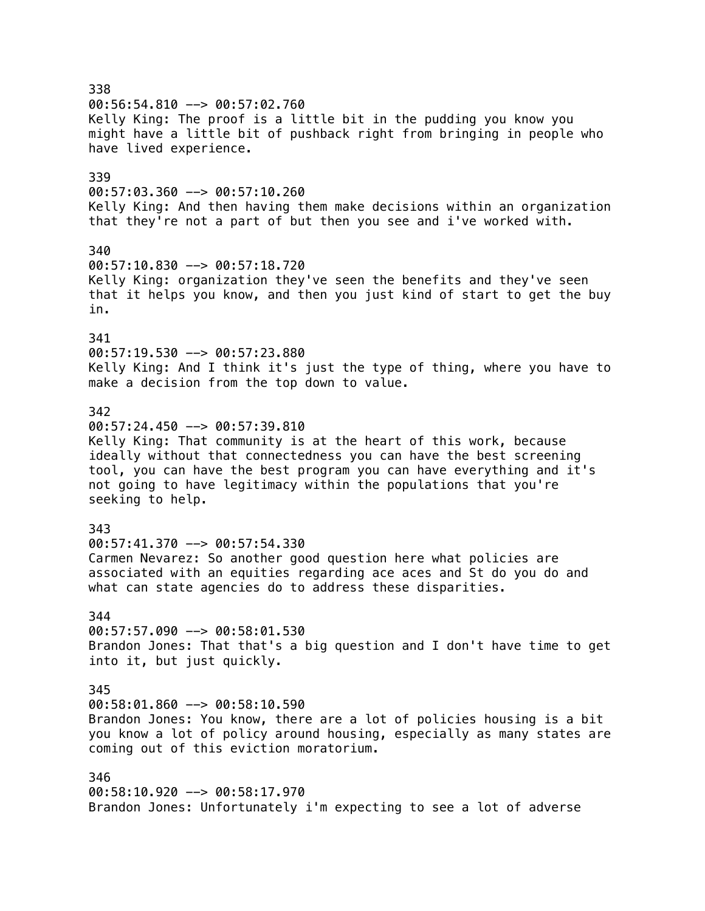338 00:56:54.810 --> 00:57:02.760 Kelly King: The proof is a little bit in the pudding you know you might have a little bit of pushback right from bringing in people who have lived experience. 339  $00:57:03.360$  -->  $00:57:10.260$ Kelly King: And then having them make decisions within an organization that they're not a part of but then you see and i've worked with. 340 00:57:10.830 --> 00:57:18.720 Kelly King: organization they've seen the benefits and they've seen that it helps you know, and then you just kind of start to get the buy in. 341 00:57:19.530 --> 00:57:23.880 Kelly King: And I think it's just the type of thing, where you have to make a decision from the top down to value. 342  $00:57:24.450$  -->  $00:57:39.810$ Kelly King: That community is at the heart of this work, because ideally without that connectedness you can have the best screening tool, you can have the best program you can have everything and it's not going to have legitimacy within the populations that you're seeking to help. 343 00:57:41.370 --> 00:57:54.330 Carmen Nevarez: So another good question here what policies are associated with an equities regarding ace aces and St do you do and what can state agencies do to address these disparities. 344 00:57:57.090 --> 00:58:01.530 Brandon Jones: That that's a big question and I don't have time to get into it, but just quickly. 345  $00:58:01.860$  -->  $00:58:10.590$ Brandon Jones: You know, there are a lot of policies housing is a bit you know a lot of policy around housing, especially as many states are coming out of this eviction moratorium. 346 00:58:10.920 --> 00:58:17.970 Brandon Jones: Unfortunately i'm expecting to see a lot of adverse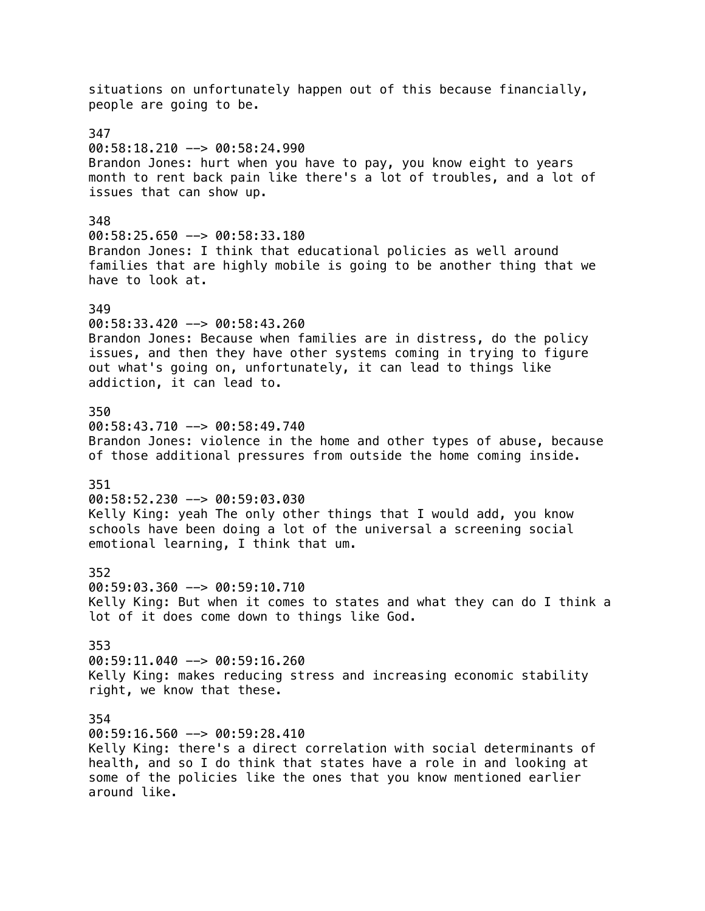situations on unfortunately happen out of this because financially, people are going to be. 347 00:58:18.210 --> 00:58:24.990 Brandon Jones: hurt when you have to pay, you know eight to years month to rent back pain like there's a lot of troubles, and a lot of issues that can show up. 348  $00:58:25.650$  -->  $00:58:33.180$ Brandon Jones: I think that educational policies as well around families that are highly mobile is going to be another thing that we have to look at. 349 00:58:33.420 --> 00:58:43.260 Brandon Jones: Because when families are in distress, do the policy issues, and then they have other systems coming in trying to figure out what's going on, unfortunately, it can lead to things like addiction, it can lead to. 350 00:58:43.710 --> 00:58:49.740 Brandon Jones: violence in the home and other types of abuse, because of those additional pressures from outside the home coming inside. 351 00:58:52.230 --> 00:59:03.030 Kelly King: yeah The only other things that I would add, you know schools have been doing a lot of the universal a screening social emotional learning, I think that um. 352 00:59:03.360 --> 00:59:10.710 Kelly King: But when it comes to states and what they can do I think a lot of it does come down to things like God. 353 00:59:11.040 --> 00:59:16.260 Kelly King: makes reducing stress and increasing economic stability right, we know that these. 354  $00:59:16.560$  -->  $00:59:28.410$ Kelly King: there's a direct correlation with social determinants of health, and so I do think that states have a role in and looking at some of the policies like the ones that you know mentioned earlier around like.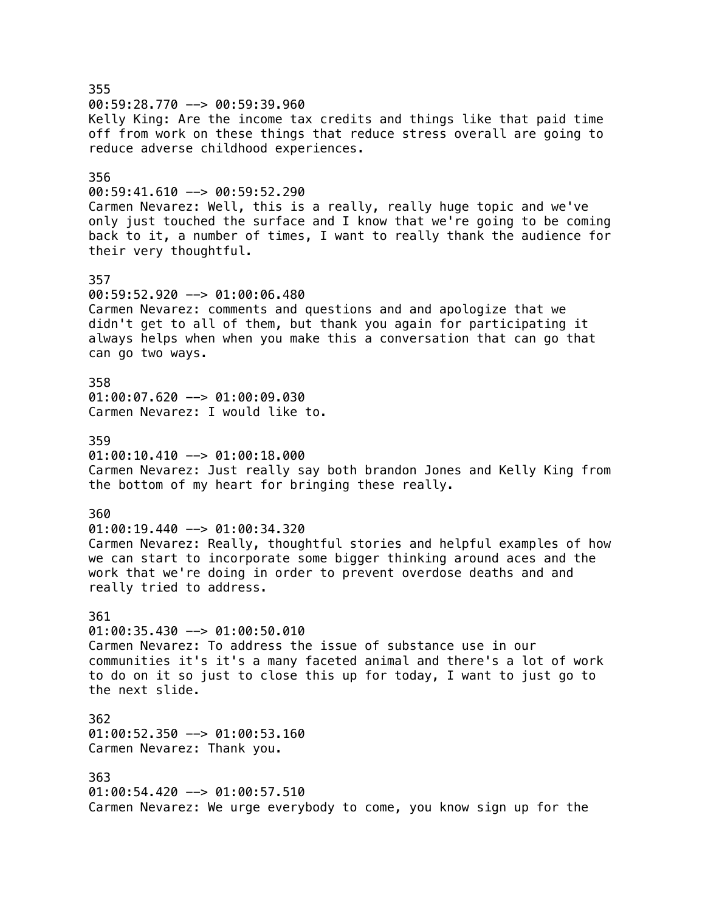355  $00:59:28.770$  -->  $00:59:39.960$ Kelly King: Are the income tax credits and things like that paid time off from work on these things that reduce stress overall are going to reduce adverse childhood experiences. 356 00:59:41.610 --> 00:59:52.290 Carmen Nevarez: Well, this is a really, really huge topic and we've only just touched the surface and I know that we're going to be coming back to it, a number of times, I want to really thank the audience for their very thoughtful. 357 00:59:52.920 --> 01:00:06.480 Carmen Nevarez: comments and questions and and apologize that we didn't get to all of them, but thank you again for participating it always helps when when you make this a conversation that can go that can go two ways. 358 01:00:07.620 --> 01:00:09.030 Carmen Nevarez: I would like to. 359  $01:00:10.410$  -->  $01:00:18.000$ Carmen Nevarez: Just really say both brandon Jones and Kelly King from the bottom of my heart for bringing these really. 360 01:00:19.440 --> 01:00:34.320 Carmen Nevarez: Really, thoughtful stories and helpful examples of how we can start to incorporate some bigger thinking around aces and the work that we're doing in order to prevent overdose deaths and and really tried to address. 361 01:00:35.430 --> 01:00:50.010 Carmen Nevarez: To address the issue of substance use in our communities it's it's a many faceted animal and there's a lot of work to do on it so just to close this up for today, I want to just go to the next slide. 362 01:00:52.350 --> 01:00:53.160 Carmen Nevarez: Thank you. 363 01:00:54.420 --> 01:00:57.510 Carmen Nevarez: We urge everybody to come, you know sign up for the